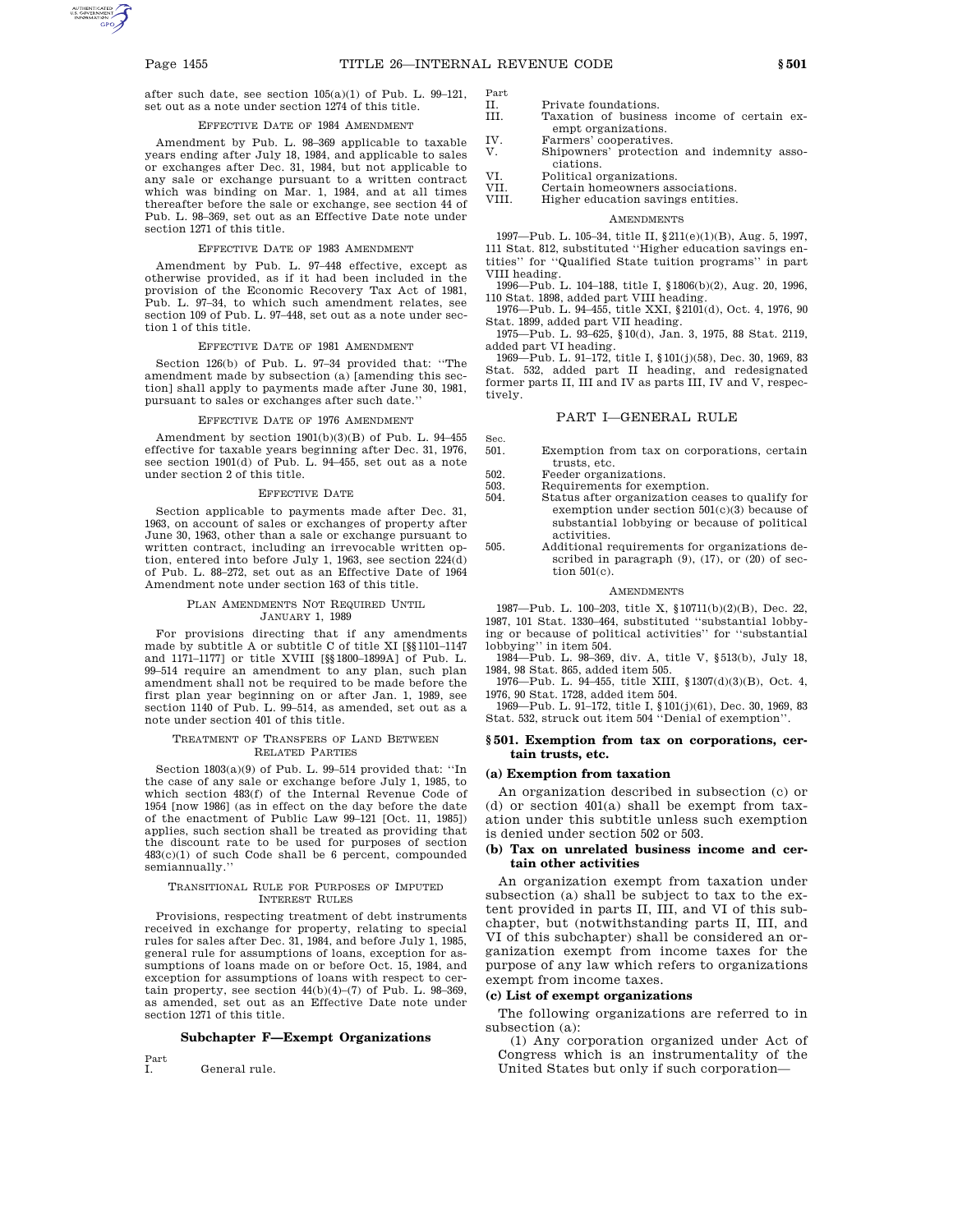after such date, see section 105(a)(1) of Pub. L. 99–121, set out as a note under section 1274 of this title.

### EFFECTIVE DATE OF 1984 AMENDMENT

Amendment by Pub. L. 98–369 applicable to taxable years ending after July 18, 1984, and applicable to sales or exchanges after Dec. 31, 1984, but not applicable to any sale or exchange pursuant to a written contract which was binding on Mar. 1, 1984, and at all times thereafter before the sale or exchange, see section 44 of Pub. L. 98–369, set out as an Effective Date note under section 1271 of this title.

#### EFFECTIVE DATE OF 1983 AMENDMENT

Amendment by Pub. L. 97–448 effective, except as otherwise provided, as if it had been included in the provision of the Economic Recovery Tax Act of 1981, Pub. L. 97–34, to which such amendment relates, see section 109 of Pub. L. 97–448, set out as a note under section 1 of this title.

#### EFFECTIVE DATE OF 1981 AMENDMENT

Section 126(b) of Pub. L. 97–34 provided that: ''The amendment made by subsection (a) [amending this section] shall apply to payments made after June 30, 1981, pursuant to sales or exchanges after such date.''

#### EFFECTIVE DATE OF 1976 AMENDMENT

Amendment by section 1901(b)(3)(B) of Pub. L. 94–455 effective for taxable years beginning after Dec. 31, 1976, see section 1901(d) of Pub. L. 94–455, set out as a note under section 2 of this title.

#### EFFECTIVE DATE

Section applicable to payments made after Dec. 31, 1963, on account of sales or exchanges of property after June 30, 1963, other than a sale or exchange pursuant to written contract, including an irrevocable written option, entered into before July 1, 1963, see section 224(d) of Pub. L. 88–272, set out as an Effective Date of 1964 Amendment note under section 163 of this title.

#### PLAN AMENDMENTS NOT REQUIRED UNTIL JANUARY 1, 1989

For provisions directing that if any amendments made by subtitle A or subtitle C of title XI [§§1101–1147 and 1171–1177] or title XVIII [§§1800–1899A] of Pub. L. 99–514 require an amendment to any plan, such plan amendment shall not be required to be made before the first plan year beginning on or after Jan. 1, 1989, see section 1140 of Pub. L. 99–514, as amended, set out as a note under section 401 of this title.

#### TREATMENT OF TRANSFERS OF LAND BETWEEN RELATED PARTIES

Section 1803(a)(9) of Pub. L. 99–514 provided that: ''In the case of any sale or exchange before July 1, 1985, to which section 483(f) of the Internal Revenue Code of 1954 [now 1986] (as in effect on the day before the date of the enactment of Public Law 99–121 [Oct. 11, 1985]) applies, such section shall be treated as providing that the discount rate to be used for purposes of section 483(c)(1) of such Code shall be 6 percent, compounded semiannually.''

#### TRANSITIONAL RULE FOR PURPOSES OF IMPUTED INTEREST RULES

Provisions, respecting treatment of debt instruments received in exchange for property, relating to special rules for sales after Dec. 31, 1984, and before July 1, 1985, general rule for assumptions of loans, exception for assumptions of loans made on or before Oct. 15, 1984, and exception for assumptions of loans with respect to certain property, see section  $44(b)(4)-(7)$  of Pub. L. 98-369, as amended, set out as an Effective Date note under section 1271 of this title.

#### **Subchapter F—Exempt Organizations**

Part

I. General rule.

- Part II. Private foundations.<br>III Taxation of busines
	- Taxation of business income of certain exempt organizations.
- IV. Farmers' cooperatives.<br>V. Shipowners' protection
- Shipowners' protection and indemnity associations.
- VI. Political organizations.<br>VII. Certain homeowners ass
- Certain homeowners associations.
- VIII. Higher education savings entities.

#### AMENDMENTS

1997—Pub. L. 105–34, title II, §211(e)(1)(B), Aug. 5, 1997, 111 Stat. 812, substituted ''Higher education savings entities'' for ''Qualified State tuition programs'' in part VIII heading.

1996—Pub. L. 104–188, title I, §1806(b)(2), Aug. 20, 1996, 110 Stat. 1898, added part VIII heading.

1976—Pub. L. 94–455, title XXI, §2101(d), Oct. 4, 1976, 90

Stat. 1899, added part VII heading. 1975—Pub. L. 93–625, §10(d), Jan. 3, 1975, 88 Stat. 2119, added part VI heading.

1969—Pub. L. 91–172, title I, §101(j)(58), Dec. 30, 1969, 83 Stat. 532, added part II heading, and redesignated former parts II, III and IV as parts III, IV and V, respectively.

### PART I—GENERAL RULE

- Sec.<br>501. Exemption from tax on corporations, certain trusts, etc.
- 502. Feeder organizations.

503. Requirements for exemption.

- 504. Status after organization ceases to qualify for exemption under section 501(c)(3) because of substantial lobbying or because of political activities.
- 505. Additional requirements for organizations described in paragraph (9), (17), or (20) of section 501(c).

#### **AMENDMENTS**

1987—Pub. L. 100–203, title X, §10711(b)(2)(B), Dec. 22, 1987, 101 Stat. 1330–464, substituted ''substantial lobbying or because of political activities'' for ''substantial lobbying'' in item 504.

1984—Pub. L. 98–369, div. A, title V, §513(b), July 18, 1984, 98 Stat. 865, added item 505.

1976—Pub. L. 94–455, title XIII, §1307(d)(3)(B), Oct. 4, 1976, 90 Stat. 1728, added item 504.

1969—Pub. L. 91–172, title I, §101(j)(61), Dec. 30, 1969, 83 Stat. 532, struck out item 504 ''Denial of exemption''.

### **§ 501. Exemption from tax on corporations, certain trusts, etc.**

#### **(a) Exemption from taxation**

An organization described in subsection (c) or (d) or section 401(a) shall be exempt from taxation under this subtitle unless such exemption is denied under section 502 or 503.

# **(b) Tax on unrelated business income and certain other activities**

An organization exempt from taxation under subsection (a) shall be subject to tax to the extent provided in parts II, III, and VI of this subchapter, but (notwithstanding parts II, III, and VI of this subchapter) shall be considered an organization exempt from income taxes for the purpose of any law which refers to organizations exempt from income taxes.

#### **(c) List of exempt organizations**

The following organizations are referred to in subsection (a):

(1) Any corporation organized under Act of Congress which is an instrumentality of the United States but only if such corporation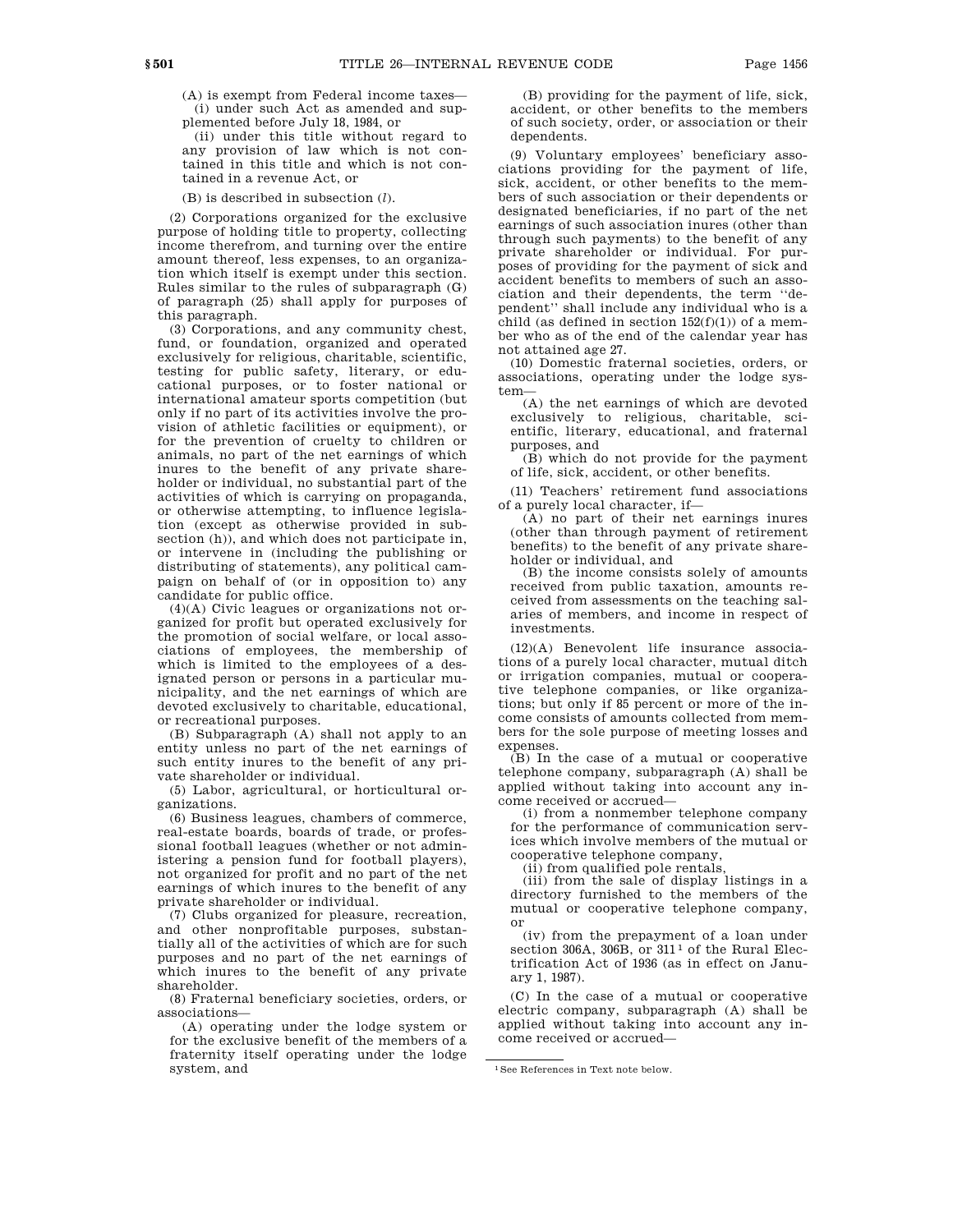(A) is exempt from Federal income taxes— (i) under such Act as amended and supplemented before July 18, 1984, or

(ii) under this title without regard to any provision of law which is not contained in this title and which is not contained in a revenue Act, or

(B) is described in subsection (*l*).

(2) Corporations organized for the exclusive purpose of holding title to property, collecting income therefrom, and turning over the entire amount thereof, less expenses, to an organization which itself is exempt under this section. Rules similar to the rules of subparagraph (G) of paragraph (25) shall apply for purposes of this paragraph.

(3) Corporations, and any community chest, fund, or foundation, organized and operated exclusively for religious, charitable, scientific, testing for public safety, literary, or educational purposes, or to foster national or international amateur sports competition (but only if no part of its activities involve the provision of athletic facilities or equipment), or for the prevention of cruelty to children or animals, no part of the net earnings of which inures to the benefit of any private shareholder or individual, no substantial part of the activities of which is carrying on propaganda, or otherwise attempting, to influence legislation (except as otherwise provided in subsection (h)), and which does not participate in, or intervene in (including the publishing or distributing of statements), any political campaign on behalf of (or in opposition to) any candidate for public office.

(4)(A) Civic leagues or organizations not organized for profit but operated exclusively for the promotion of social welfare, or local associations of employees, the membership of which is limited to the employees of a designated person or persons in a particular municipality, and the net earnings of which are devoted exclusively to charitable, educational, or recreational purposes.

(B) Subparagraph (A) shall not apply to an entity unless no part of the net earnings of such entity inures to the benefit of any private shareholder or individual.

(5) Labor, agricultural, or horticultural organizations.

(6) Business leagues, chambers of commerce, real-estate boards, boards of trade, or professional football leagues (whether or not administering a pension fund for football players), not organized for profit and no part of the net earnings of which inures to the benefit of any private shareholder or individual.

(7) Clubs organized for pleasure, recreation, and other nonprofitable purposes, substantially all of the activities of which are for such purposes and no part of the net earnings of which inures to the benefit of any private shareholder.

(8) Fraternal beneficiary societies, orders, or associations—

(A) operating under the lodge system or for the exclusive benefit of the members of a fraternity itself operating under the lodge system, and

(B) providing for the payment of life, sick, accident, or other benefits to the members of such society, order, or association or their dependents.

(9) Voluntary employees' beneficiary associations providing for the payment of life, sick, accident, or other benefits to the members of such association or their dependents or designated beneficiaries, if no part of the net earnings of such association inures (other than through such payments) to the benefit of any private shareholder or individual. For purposes of providing for the payment of sick and accident benefits to members of such an association and their dependents, the term ''dependent'' shall include any individual who is a child (as defined in section  $152(f)(1)$ ) of a member who as of the end of the calendar year has not attained age 27.

(10) Domestic fraternal societies, orders, or associations, operating under the lodge system—

(A) the net earnings of which are devoted exclusively to religious, charitable, scientific, literary, educational, and fraternal purposes, and

(B) which do not provide for the payment of life, sick, accident, or other benefits.

(11) Teachers' retirement fund associations of a purely local character, if—

(A) no part of their net earnings inures (other than through payment of retirement benefits) to the benefit of any private shareholder or individual, and

(B) the income consists solely of amounts received from public taxation, amounts received from assessments on the teaching salaries of members, and income in respect of investments.

(12)(A) Benevolent life insurance associations of a purely local character, mutual ditch or irrigation companies, mutual or cooperative telephone companies, or like organizations; but only if 85 percent or more of the income consists of amounts collected from members for the sole purpose of meeting losses and expenses.

(B) In the case of a mutual or cooperative telephone company, subparagraph (A) shall be applied without taking into account any income received or accrued—

(i) from a nonmember telephone company for the performance of communication services which involve members of the mutual or cooperative telephone company,

(ii) from qualified pole rentals,

(iii) from the sale of display listings in a directory furnished to the members of the mutual or cooperative telephone company, or

(iv) from the prepayment of a loan under section 306A, 306B, or  $311^{\frac{1}{1}}$  of the Rural Electrification Act of 1936 (as in effect on January 1, 1987).

(C) In the case of a mutual or cooperative electric company, subparagraph (A) shall be applied without taking into account any income received or accrued—

<sup>1</sup>See References in Text note below.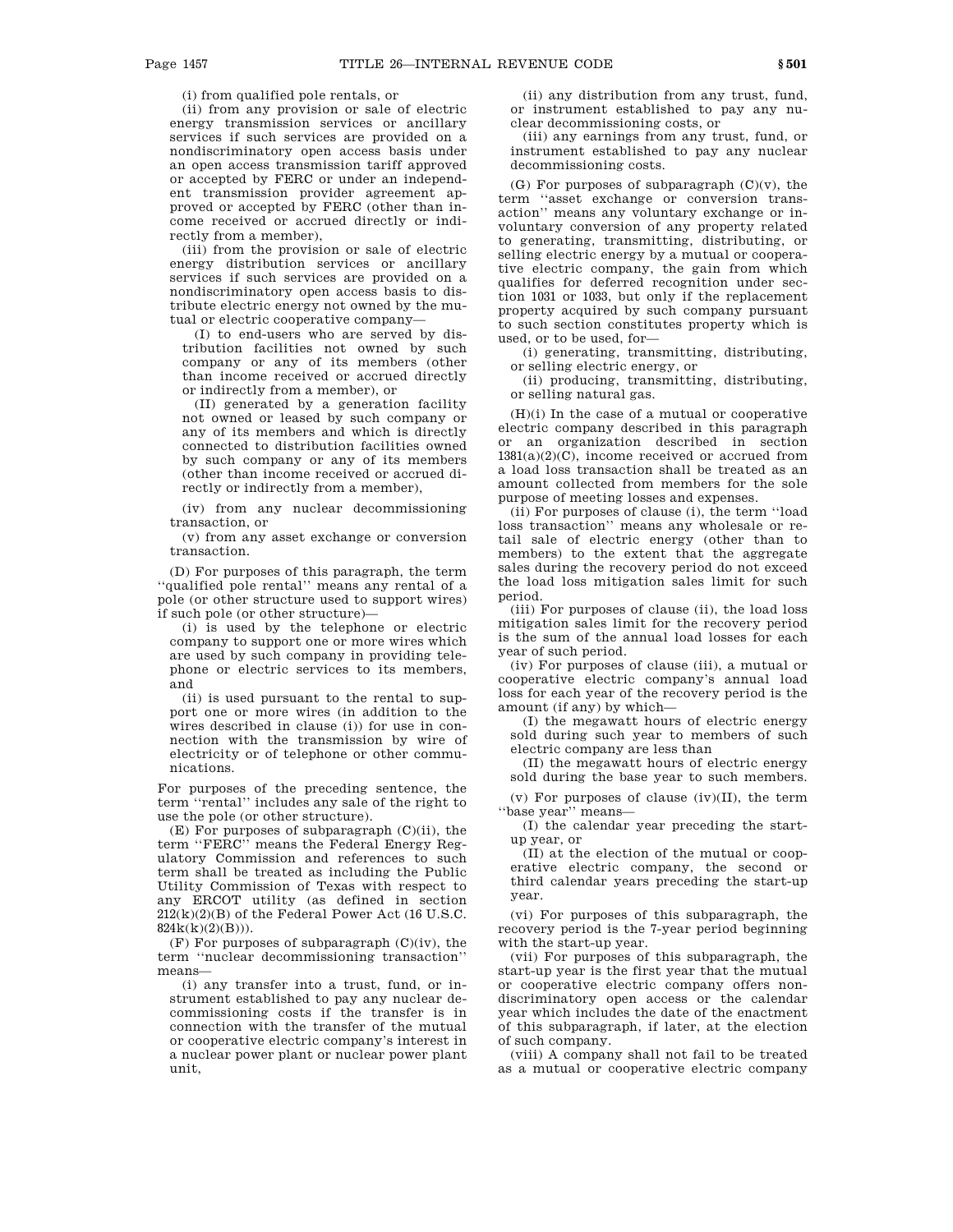(i) from qualified pole rentals, or

(ii) from any provision or sale of electric energy transmission services or ancillary services if such services are provided on a nondiscriminatory open access basis under an open access transmission tariff approved or accepted by FERC or under an independent transmission provider agreement approved or accepted by FERC (other than income received or accrued directly or indirectly from a member),

(iii) from the provision or sale of electric energy distribution services or ancillary services if such services are provided on a nondiscriminatory open access basis to distribute electric energy not owned by the mutual or electric cooperative company—

(I) to end-users who are served by distribution facilities not owned by such company or any of its members (other than income received or accrued directly or indirectly from a member), or

(II) generated by a generation facility not owned or leased by such company or any of its members and which is directly connected to distribution facilities owned by such company or any of its members (other than income received or accrued directly or indirectly from a member),

(iv) from any nuclear decommissioning transaction, or

(v) from any asset exchange or conversion transaction.

(D) For purposes of this paragraph, the term ''qualified pole rental'' means any rental of a pole (or other structure used to support wires) if such pole (or other structure)—

(i) is used by the telephone or electric company to support one or more wires which are used by such company in providing telephone or electric services to its members, and

(ii) is used pursuant to the rental to support one or more wires (in addition to the wires described in clause (i)) for use in connection with the transmission by wire of electricity or of telephone or other communications.

For purposes of the preceding sentence, the term ''rental'' includes any sale of the right to use the pole (or other structure).

(E) For purposes of subparagraph (C)(ii), the term ''FERC'' means the Federal Energy Regulatory Commission and references to such term shall be treated as including the Public Utility Commission of Texas with respect to any ERCOT utility (as defined in section 212(k)(2)(B) of the Federal Power Act (16 U.S.C. 824k(k)(2)(B))).

(F) For purposes of subparagraph (C)(iv), the term ''nuclear decommissioning transaction'' means—

(i) any transfer into a trust, fund, or instrument established to pay any nuclear decommissioning costs if the transfer is in connection with the transfer of the mutual or cooperative electric company's interest in a nuclear power plant or nuclear power plant unit,

(ii) any distribution from any trust, fund, or instrument established to pay any nuclear decommissioning costs, or

(iii) any earnings from any trust, fund, or instrument established to pay any nuclear decommissioning costs.

(G) For purposes of subparagraph  $(C)(v)$ , the term ''asset exchange or conversion transaction'' means any voluntary exchange or involuntary conversion of any property related to generating, transmitting, distributing, or selling electric energy by a mutual or cooperative electric company, the gain from which qualifies for deferred recognition under section 1031 or 1033, but only if the replacement property acquired by such company pursuant to such section constitutes property which is used, or to be used, for—

(i) generating, transmitting, distributing, or selling electric energy, or

(ii) producing, transmitting, distributing, or selling natural gas.

(H)(i) In the case of a mutual or cooperative electric company described in this paragraph or an organization described in section  $1381(a)(2)(C)$ , income received or accrued from a load loss transaction shall be treated as an amount collected from members for the sole purpose of meeting losses and expenses.

(ii) For purposes of clause (i), the term ''load loss transaction'' means any wholesale or retail sale of electric energy (other than to members) to the extent that the aggregate sales during the recovery period do not exceed the load loss mitigation sales limit for such period.

(iii) For purposes of clause (ii), the load loss mitigation sales limit for the recovery period is the sum of the annual load losses for each year of such period.

(iv) For purposes of clause (iii), a mutual or cooperative electric company's annual load loss for each year of the recovery period is the amount (if any) by which—

(I) the megawatt hours of electric energy sold during such year to members of such electric company are less than

(II) the megawatt hours of electric energy sold during the base year to such members.

(v) For purposes of clause (iv)(II), the term ''base year'' means—

(I) the calendar year preceding the startup year, or

(II) at the election of the mutual or cooperative electric company, the second or third calendar years preceding the start-up year.

(vi) For purposes of this subparagraph, the recovery period is the 7-year period beginning with the start-up year.

(vii) For purposes of this subparagraph, the start-up year is the first year that the mutual or cooperative electric company offers nondiscriminatory open access or the calendar year which includes the date of the enactment of this subparagraph, if later, at the election of such company.

(viii) A company shall not fail to be treated as a mutual or cooperative electric company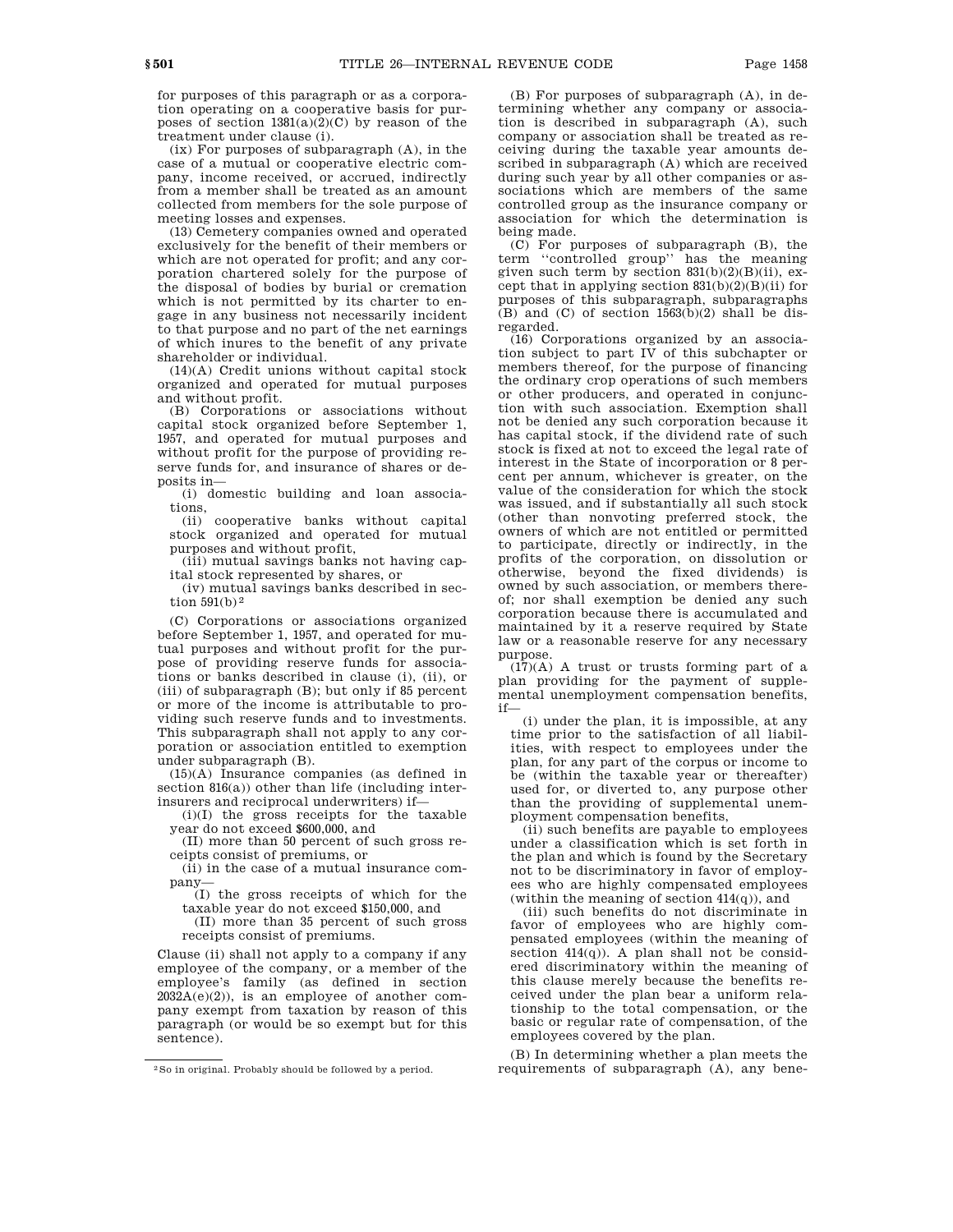for purposes of this paragraph or as a corporation operating on a cooperative basis for purposes of section  $1381(a)(2)(C)$  by reason of the treatment under clause (i).

(ix) For purposes of subparagraph (A), in the case of a mutual or cooperative electric company, income received, or accrued, indirectly from a member shall be treated as an amount collected from members for the sole purpose of meeting losses and expenses.

(13) Cemetery companies owned and operated exclusively for the benefit of their members or which are not operated for profit; and any corporation chartered solely for the purpose of the disposal of bodies by burial or cremation which is not permitted by its charter to engage in any business not necessarily incident to that purpose and no part of the net earnings of which inures to the benefit of any private shareholder or individual.

(14)(A) Credit unions without capital stock organized and operated for mutual purposes and without profit.

(B) Corporations or associations without capital stock organized before September 1, 1957, and operated for mutual purposes and without profit for the purpose of providing reserve funds for, and insurance of shares or deposits in—

(i) domestic building and loan associations,

(ii) cooperative banks without capital stock organized and operated for mutual purposes and without profit,

(iii) mutual savings banks not having capital stock represented by shares, or

(iv) mutual savings banks described in section  $591(b)^2$ 

(C) Corporations or associations organized before September 1, 1957, and operated for mutual purposes and without profit for the purpose of providing reserve funds for associations or banks described in clause (i), (ii), or (iii) of subparagraph (B); but only if 85 percent or more of the income is attributable to providing such reserve funds and to investments. This subparagraph shall not apply to any corporation or association entitled to exemption under subparagraph (B).

(15)(A) Insurance companies (as defined in section 816(a)) other than life (including interinsurers and reciprocal underwriters) if—

(i)(I) the gross receipts for the taxable year do not exceed \$600,000, and

(II) more than 50 percent of such gross receipts consist of premiums, or

(ii) in the case of a mutual insurance company—

(I) the gross receipts of which for the taxable year do not exceed \$150,000, and

(II) more than 35 percent of such gross receipts consist of premiums.

Clause (ii) shall not apply to a company if any employee of the company, or a member of the employee's family (as defined in section  $2032A(e)(2)$ , is an employee of another company exempt from taxation by reason of this paragraph (or would be so exempt but for this sentence).

(B) For purposes of subparagraph (A), in determining whether any company or association is described in subparagraph (A), such company or association shall be treated as receiving during the taxable year amounts described in subparagraph (A) which are received during such year by all other companies or associations which are members of the same controlled group as the insurance company or association for which the determination is being made.

(C) For purposes of subparagraph (B), the term ''controlled group'' has the meaning given such term by section  $831(b)(2)(B)(ii)$ , except that in applying section  $831(b)(2)(B)(ii)$  for purposes of this subparagraph, subparagraphs  $(B)$  and  $(C)$  of section  $1563(b)(2)$  shall be disregarded.

(16) Corporations organized by an association subject to part IV of this subchapter or members thereof, for the purpose of financing the ordinary crop operations of such members or other producers, and operated in conjunction with such association. Exemption shall not be denied any such corporation because it has capital stock, if the dividend rate of such stock is fixed at not to exceed the legal rate of interest in the State of incorporation or 8 percent per annum, whichever is greater, on the value of the consideration for which the stock was issued, and if substantially all such stock (other than nonvoting preferred stock, the owners of which are not entitled or permitted to participate, directly or indirectly, in the profits of the corporation, on dissolution or otherwise, beyond the fixed dividends) is owned by such association, or members thereof; nor shall exemption be denied any such corporation because there is accumulated and maintained by it a reserve required by State law or a reasonable reserve for any necessary purpose.

(17)(A) A trust or trusts forming part of a plan providing for the payment of supplemental unemployment compensation benefits, if—

(i) under the plan, it is impossible, at any time prior to the satisfaction of all liabilities, with respect to employees under the plan, for any part of the corpus or income to be (within the taxable year or thereafter) used for, or diverted to, any purpose other than the providing of supplemental unemployment compensation benefits,

(ii) such benefits are payable to employees under a classification which is set forth in the plan and which is found by the Secretary not to be discriminatory in favor of employees who are highly compensated employees (within the meaning of section 414(q)), and

(iii) such benefits do not discriminate in favor of employees who are highly compensated employees (within the meaning of section  $414(q)$ ). A plan shall not be considered discriminatory within the meaning of this clause merely because the benefits received under the plan bear a uniform relationship to the total compensation, or the basic or regular rate of compensation, of the employees covered by the plan.

(B) In determining whether a plan meets the requirements of subparagraph (A), any bene-

<sup>2</sup>So in original. Probably should be followed by a period.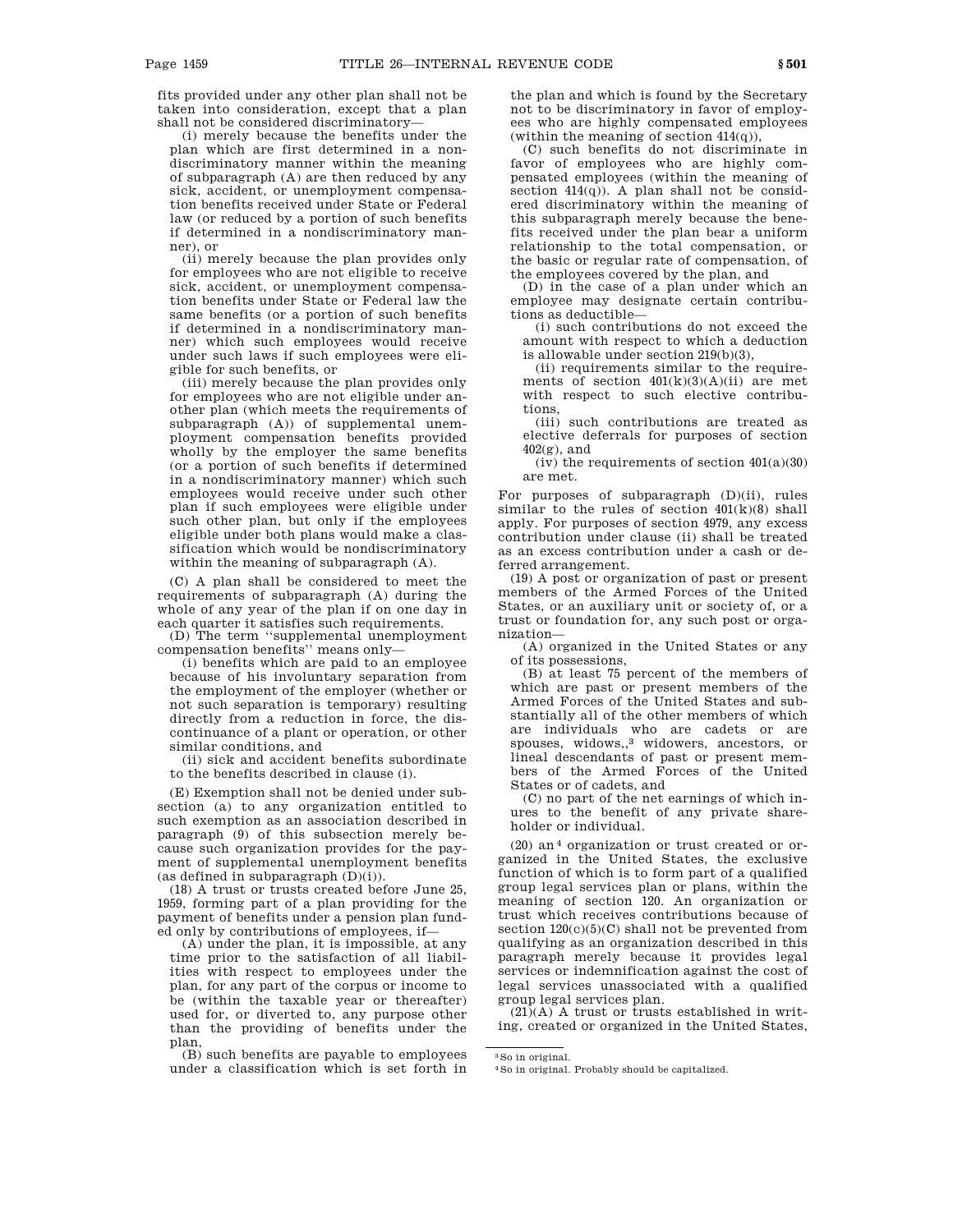fits provided under any other plan shall not be taken into consideration, except that a plan shall not be considered discriminatory—

(i) merely because the benefits under the plan which are first determined in a nondiscriminatory manner within the meaning of subparagraph (A) are then reduced by any sick, accident, or unemployment compensation benefits received under State or Federal law (or reduced by a portion of such benefits if determined in a nondiscriminatory manner), or

(ii) merely because the plan provides only for employees who are not eligible to receive sick, accident, or unemployment compensation benefits under State or Federal law the same benefits (or a portion of such benefits if determined in a nondiscriminatory manner) which such employees would receive under such laws if such employees were eligible for such benefits, or

(iii) merely because the plan provides only for employees who are not eligible under another plan (which meets the requirements of subparagraph (A)) of supplemental unemployment compensation benefits provided wholly by the employer the same benefits (or a portion of such benefits if determined in a nondiscriminatory manner) which such employees would receive under such other plan if such employees were eligible under such other plan, but only if the employees eligible under both plans would make a classification which would be nondiscriminatory within the meaning of subparagraph (A).

(C) A plan shall be considered to meet the requirements of subparagraph (A) during the whole of any year of the plan if on one day in each quarter it satisfies such requirements.

(D) The term ''supplemental unemployment compensation benefits'' means only—

(i) benefits which are paid to an employee because of his involuntary separation from the employment of the employer (whether or not such separation is temporary) resulting directly from a reduction in force, the discontinuance of a plant or operation, or other similar conditions, and

(ii) sick and accident benefits subordinate to the benefits described in clause (i).

(E) Exemption shall not be denied under subsection (a) to any organization entitled to such exemption as an association described in paragraph (9) of this subsection merely because such organization provides for the payment of supplemental unemployment benefits (as defined in subparagraph  $(D)(i)$ ).

(18) A trust or trusts created before June 25, 1959, forming part of a plan providing for the payment of benefits under a pension plan funded only by contributions of employees, if—

(A) under the plan, it is impossible, at any time prior to the satisfaction of all liabilities with respect to employees under the plan, for any part of the corpus or income to be (within the taxable year or thereafter) used for, or diverted to, any purpose other than the providing of benefits under the plan,

(B) such benefits are payable to employees under a classification which is set forth in the plan and which is found by the Secretary not to be discriminatory in favor of employees who are highly compensated employees (within the meaning of section  $414(q)$ ),

(C) such benefits do not discriminate in favor of employees who are highly compensated employees (within the meaning of section  $414(q)$ ). A plan shall not be considered discriminatory within the meaning of this subparagraph merely because the benefits received under the plan bear a uniform relationship to the total compensation, or the basic or regular rate of compensation, of the employees covered by the plan, and

(D) in the case of a plan under which an employee may designate certain contributions as deductible—

(i) such contributions do not exceed the amount with respect to which a deduction is allowable under section 219(b)(3),

(ii) requirements similar to the requirements of section  $401(k)(3)(A)(ii)$  are met with respect to such elective contributions,

(iii) such contributions are treated as elective deferrals for purposes of section 402(g), and

(iv) the requirements of section  $401(a)(30)$ are met.

For purposes of subparagraph (D)(ii), rules similar to the rules of section  $401(k)(8)$  shall apply. For purposes of section 4979, any excess contribution under clause (ii) shall be treated as an excess contribution under a cash or deferred arrangement.

(19) A post or organization of past or present members of the Armed Forces of the United States, or an auxiliary unit or society of, or a trust or foundation for, any such post or organization—

(A) organized in the United States or any of its possessions,

(B) at least 75 percent of the members of which are past or present members of the Armed Forces of the United States and substantially all of the other members of which are individuals who are cadets or are spouses, widows,,3 widowers, ancestors, or lineal descendants of past or present members of the Armed Forces of the United States or of cadets, and

(C) no part of the net earnings of which inures to the benefit of any private shareholder or individual.

 $(20)$  an<sup>4</sup> organization or trust created or organized in the United States, the exclusive function of which is to form part of a qualified group legal services plan or plans, within the meaning of section 120. An organization or trust which receives contributions because of section  $120(c)(5)(C)$  shall not be prevented from qualifying as an organization described in this paragraph merely because it provides legal services or indemnification against the cost of legal services unassociated with a qualified group legal services plan.

 $(21)(A)$  A trust or trusts established in writing, created or organized in the United States,

3So in original.

<sup>4</sup>So in original. Probably should be capitalized.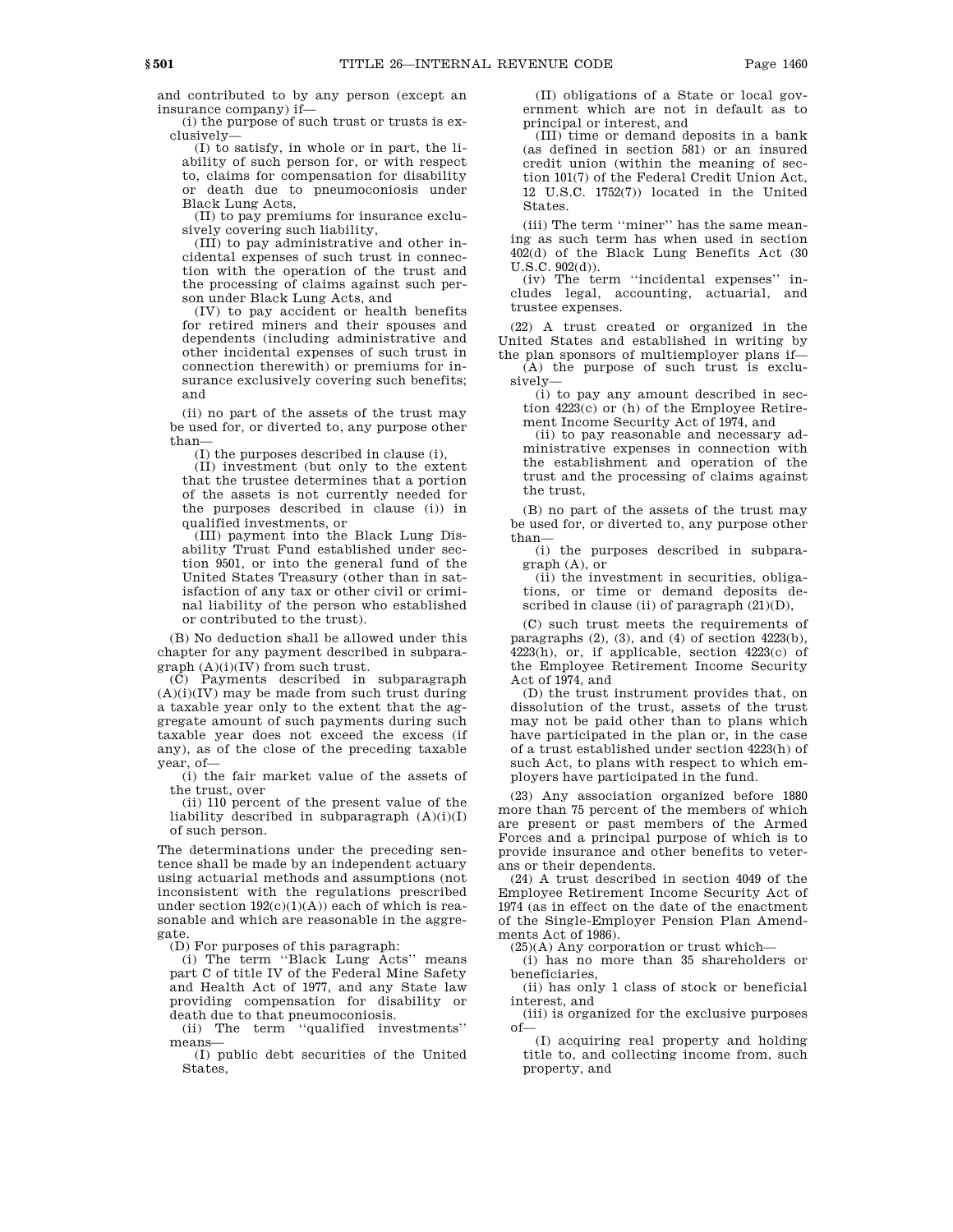and contributed to by any person (except an insurance company) if—

(i) the purpose of such trust or trusts is exclusively—

(I) to satisfy, in whole or in part, the liability of such person for, or with respect to, claims for compensation for disability or death due to pneumoconiosis under Black Lung Acts,

(II) to pay premiums for insurance exclusively covering such liability,

(III) to pay administrative and other incidental expenses of such trust in connection with the operation of the trust and the processing of claims against such person under Black Lung Acts, and

(IV) to pay accident or health benefits for retired miners and their spouses and dependents (including administrative and other incidental expenses of such trust in connection therewith) or premiums for insurance exclusively covering such benefits; and

(ii) no part of the assets of the trust may be used for, or diverted to, any purpose other than—

(I) the purposes described in clause (i),

(II) investment (but only to the extent that the trustee determines that a portion of the assets is not currently needed for the purposes described in clause (i)) in qualified investments, or

(III) payment into the Black Lung Disability Trust Fund established under section 9501, or into the general fund of the United States Treasury (other than in satisfaction of any tax or other civil or criminal liability of the person who established or contributed to the trust).

(B) No deduction shall be allowed under this chapter for any payment described in subpara $graph (A)(i)(IV)$  from such trust.

(C) Payments described in subparagraph  $(A)(i)(IV)$  may be made from such trust during a taxable year only to the extent that the aggregate amount of such payments during such taxable year does not exceed the excess (if any), as of the close of the preceding taxable year, of—

(i) the fair market value of the assets of the trust, over

(ii) 110 percent of the present value of the liability described in subparagraph  $(A)(i)(I)$ of such person.

The determinations under the preceding sentence shall be made by an independent actuary using actuarial methods and assumptions (not inconsistent with the regulations prescribed under section  $192(c)(1)(A))$  each of which is reasonable and which are reasonable in the aggregate.

(D) For purposes of this paragraph:

(i) The term ''Black Lung Acts'' means part C of title IV of the Federal Mine Safety and Health Act of 1977, and any State law providing compensation for disability or death due to that pneumoconiosis.

(ii) The term ''qualified investments'' means—

(I) public debt securities of the United States,

(II) obligations of a State or local government which are not in default as to principal or interest, and

(III) time or demand deposits in a bank (as defined in section 581) or an insured credit union (within the meaning of section 101(7) of the Federal Credit Union Act, 12 U.S.C. 1752(7)) located in the United States.

(iii) The term ''miner'' has the same meaning as such term has when used in section 402(d) of the Black Lung Benefits Act (30 U.S.C. 902(d)).

(iv) The term ''incidental expenses'' includes legal, accounting, actuarial, and trustee expenses.

(22) A trust created or organized in the United States and established in writing by the plan sponsors of multiemployer plans if—

(A) the purpose of such trust is exclusively—

(i) to pay any amount described in section 4223(c) or (h) of the Employee Retirement Income Security Act of 1974, and

(ii) to pay reasonable and necessary administrative expenses in connection with the establishment and operation of the trust and the processing of claims against the trust,

(B) no part of the assets of the trust may be used for, or diverted to, any purpose other than—

(i) the purposes described in subparagraph (A), or

(ii) the investment in securities, obligations, or time or demand deposits described in clause (ii) of paragraph (21)(D),

(C) such trust meets the requirements of paragraphs (2), (3), and (4) of section 4223(b), 4223(h), or, if applicable, section 4223(c) of the Employee Retirement Income Security Act of 1974, and

(D) the trust instrument provides that, on dissolution of the trust, assets of the trust may not be paid other than to plans which have participated in the plan or, in the case of a trust established under section 4223(h) of such Act, to plans with respect to which employers have participated in the fund.

(23) Any association organized before 1880 more than 75 percent of the members of which are present or past members of the Armed Forces and a principal purpose of which is to provide insurance and other benefits to veterans or their dependents.

(24) A trust described in section 4049 of the Employee Retirement Income Security Act of 1974 (as in effect on the date of the enactment of the Single-Employer Pension Plan Amendments Act of 1986).

(25)(A) Any corporation or trust which—

(i) has no more than 35 shareholders or beneficiaries,

(ii) has only 1 class of stock or beneficial interest, and

(iii) is organized for the exclusive purposes of—

(I) acquiring real property and holding title to, and collecting income from, such property, and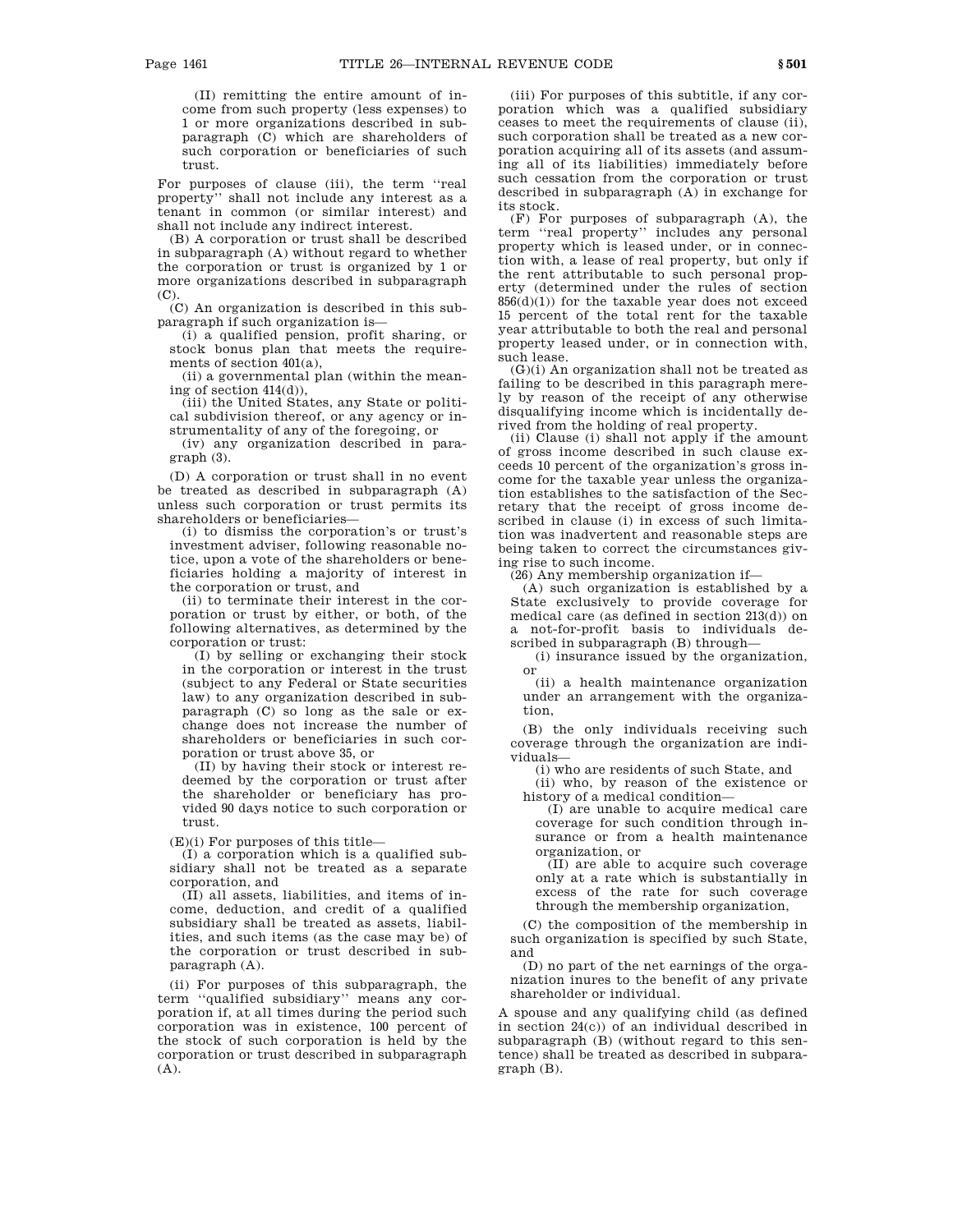(II) remitting the entire amount of income from such property (less expenses) to 1 or more organizations described in subparagraph (C) which are shareholders of such corporation or beneficiaries of such trust.

For purposes of clause (iii), the term ''real property'' shall not include any interest as a tenant in common (or similar interest) and shall not include any indirect interest.

(B) A corporation or trust shall be described in subparagraph (A) without regard to whether the corporation or trust is organized by 1 or more organizations described in subparagraph  $(C)$ .

(C) An organization is described in this subparagraph if such organization is—

(i) a qualified pension, profit sharing, or stock bonus plan that meets the requirements of section 401(a),

(ii) a governmental plan (within the meaning of section 414(d)),

(iii) the United States, any State or political subdivision thereof, or any agency or instrumentality of any of the foregoing, or

(iv) any organization described in paragraph (3).

(D) A corporation or trust shall in no event be treated as described in subparagraph (A) unless such corporation or trust permits its shareholders or beneficiaries—

(i) to dismiss the corporation's or trust's investment adviser, following reasonable notice, upon a vote of the shareholders or beneficiaries holding a majority of interest in the corporation or trust, and

(ii) to terminate their interest in the corporation or trust by either, or both, of the following alternatives, as determined by the corporation or trust:

(I) by selling or exchanging their stock in the corporation or interest in the trust (subject to any Federal or State securities law) to any organization described in subparagraph (C) so long as the sale or exchange does not increase the number of shareholders or beneficiaries in such corporation or trust above 35, or

(II) by having their stock or interest redeemed by the corporation or trust after the shareholder or beneficiary has provided 90 days notice to such corporation or trust.

 $(E)(i)$  For purposes of this title—

(I) a corporation which is a qualified subsidiary shall not be treated as a separate corporation, and

 $(\overline{II})$  all assets, liabilities, and items of income, deduction, and credit of a qualified subsidiary shall be treated as assets, liabilities, and such items (as the case may be) of the corporation or trust described in subparagraph (A).

(ii) For purposes of this subparagraph, the term ''qualified subsidiary'' means any corporation if, at all times during the period such corporation was in existence, 100 percent of the stock of such corporation is held by the corporation or trust described in subparagraph (A).

(iii) For purposes of this subtitle, if any corporation which was a qualified subsidiary ceases to meet the requirements of clause (ii), such corporation shall be treated as a new corporation acquiring all of its assets (and assuming all of its liabilities) immediately before such cessation from the corporation or trust described in subparagraph (A) in exchange for its stock.

(F) For purposes of subparagraph (A), the term ''real property'' includes any personal property which is leased under, or in connection with, a lease of real property, but only if the rent attributable to such personal property (determined under the rules of section  $856(d)(1)$  for the taxable year does not exceed 15 percent of the total rent for the taxable year attributable to both the real and personal property leased under, or in connection with, such lease.

(G)(i) An organization shall not be treated as failing to be described in this paragraph merely by reason of the receipt of any otherwise disqualifying income which is incidentally derived from the holding of real property.

(ii) Clause (i) shall not apply if the amount of gross income described in such clause exceeds 10 percent of the organization's gross income for the taxable year unless the organization establishes to the satisfaction of the Secretary that the receipt of gross income described in clause (i) in excess of such limitation was inadvertent and reasonable steps are being taken to correct the circumstances giving rise to such income.

(26) Any membership organization if—

(A) such organization is established by a State exclusively to provide coverage for medical care (as defined in section 213(d)) on a not-for-profit basis to individuals described in subparagraph (B) through—

(i) insurance issued by the organization, or

(ii) a health maintenance organization under an arrangement with the organization,

(B) the only individuals receiving such coverage through the organization are individuals—

(i) who are residents of such State, and

(ii) who, by reason of the existence or history of a medical condition—

(I) are unable to acquire medical care coverage for such condition through insurance or from a health maintenance organization, or

(II) are able to acquire such coverage only at a rate which is substantially in excess of the rate for such coverage through the membership organization,

(C) the composition of the membership in such organization is specified by such State, and

 $(D)$  no part of the net earnings of the organization inures to the benefit of any private shareholder or individual.

A spouse and any qualifying child (as defined in section 24(c)) of an individual described in subparagraph (B) (without regard to this sentence) shall be treated as described in subparagraph (B).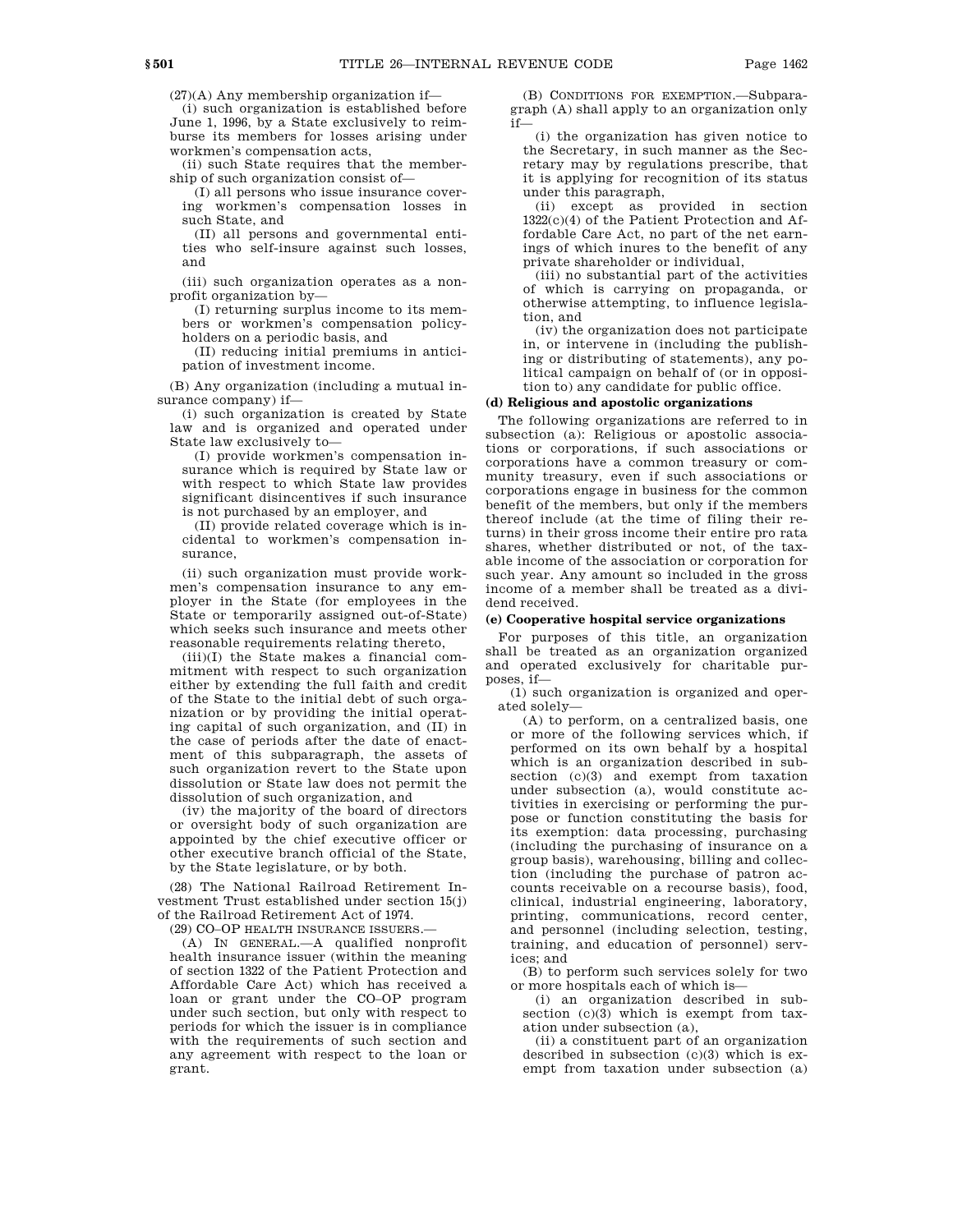$(27)(A)$  Any membership organization if—

(i) such organization is established before June 1, 1996, by a State exclusively to reimburse its members for losses arising under workmen's compensation acts,

(ii) such State requires that the membership of such organization consist of—

(I) all persons who issue insurance covering workmen's compensation losses in such State, and

(II) all persons and governmental entities who self-insure against such losses, and

(iii) such organization operates as a nonprofit organization by—

(I) returning surplus income to its members or workmen's compensation policyholders on a periodic basis, and

(II) reducing initial premiums in anticipation of investment income.

(B) Any organization (including a mutual insurance company) if—

(i) such organization is created by State law and is organized and operated under State law exclusively to—

(I) provide workmen's compensation insurance which is required by State law or with respect to which State law provides significant disincentives if such insurance is not purchased by an employer, and

(II) provide related coverage which is incidental to workmen's compensation insurance,

(ii) such organization must provide workmen's compensation insurance to any employer in the State (for employees in the State or temporarily assigned out-of-State) which seeks such insurance and meets other reasonable requirements relating thereto,

 $(iii)(I)$  the State makes a financial commitment with respect to such organization either by extending the full faith and credit of the State to the initial debt of such organization or by providing the initial operating capital of such organization, and (II) in the case of periods after the date of enactment of this subparagraph, the assets of such organization revert to the State upon dissolution or State law does not permit the dissolution of such organization, and

(iv) the majority of the board of directors or oversight body of such organization are appointed by the chief executive officer or other executive branch official of the State, by the State legislature, or by both.

(28) The National Railroad Retirement Investment Trust established under section 15(j) of the Railroad Retirement Act of 1974.

(29) CO–OP HEALTH INSURANCE ISSUERS.—

(A) IN GENERAL.—A qualified nonprofit health insurance issuer (within the meaning of section 1322 of the Patient Protection and Affordable Care Act) which has received a loan or grant under the CO–OP program under such section, but only with respect to periods for which the issuer is in compliance with the requirements of such section and any agreement with respect to the loan or grant.

(B) CONDITIONS FOR EXEMPTION.—Subparagraph (A) shall apply to an organization only if—

(i) the organization has given notice to the Secretary, in such manner as the Secretary may by regulations prescribe, that it is applying for recognition of its status under this paragraph,

(ii) except as provided in section 1322(c)(4) of the Patient Protection and Affordable Care Act, no part of the net earnings of which inures to the benefit of any private shareholder or individual,

(iii) no substantial part of the activities of which is carrying on propaganda, or otherwise attempting, to influence legislation, and

(iv) the organization does not participate in, or intervene in (including the publishing or distributing of statements), any political campaign on behalf of (or in opposition to) any candidate for public office.

# **(d) Religious and apostolic organizations**

The following organizations are referred to in subsection (a): Religious or apostolic associations or corporations, if such associations or corporations have a common treasury or community treasury, even if such associations or corporations engage in business for the common benefit of the members, but only if the members thereof include (at the time of filing their returns) in their gross income their entire pro rata shares, whether distributed or not, of the taxable income of the association or corporation for such year. Any amount so included in the gross income of a member shall be treated as a dividend received.

### **(e) Cooperative hospital service organizations**

For purposes of this title, an organization shall be treated as an organization organized and operated exclusively for charitable purposes, if—

(1) such organization is organized and operated solely—

(A) to perform, on a centralized basis, one or more of the following services which, if performed on its own behalf by a hospital which is an organization described in subsection (c)(3) and exempt from taxation under subsection (a), would constitute activities in exercising or performing the purpose or function constituting the basis for its exemption: data processing, purchasing (including the purchasing of insurance on a group basis), warehousing, billing and collection (including the purchase of patron accounts receivable on a recourse basis), food, clinical, industrial engineering, laboratory, printing, communications, record center, and personnel (including selection, testing, training, and education of personnel) services; and

(B) to perform such services solely for two or more hospitals each of which is—

(i) an organization described in subsection (c)(3) which is exempt from taxation under subsection (a),

(ii) a constituent part of an organization described in subsection  $(c)(3)$  which is exempt from taxation under subsection (a)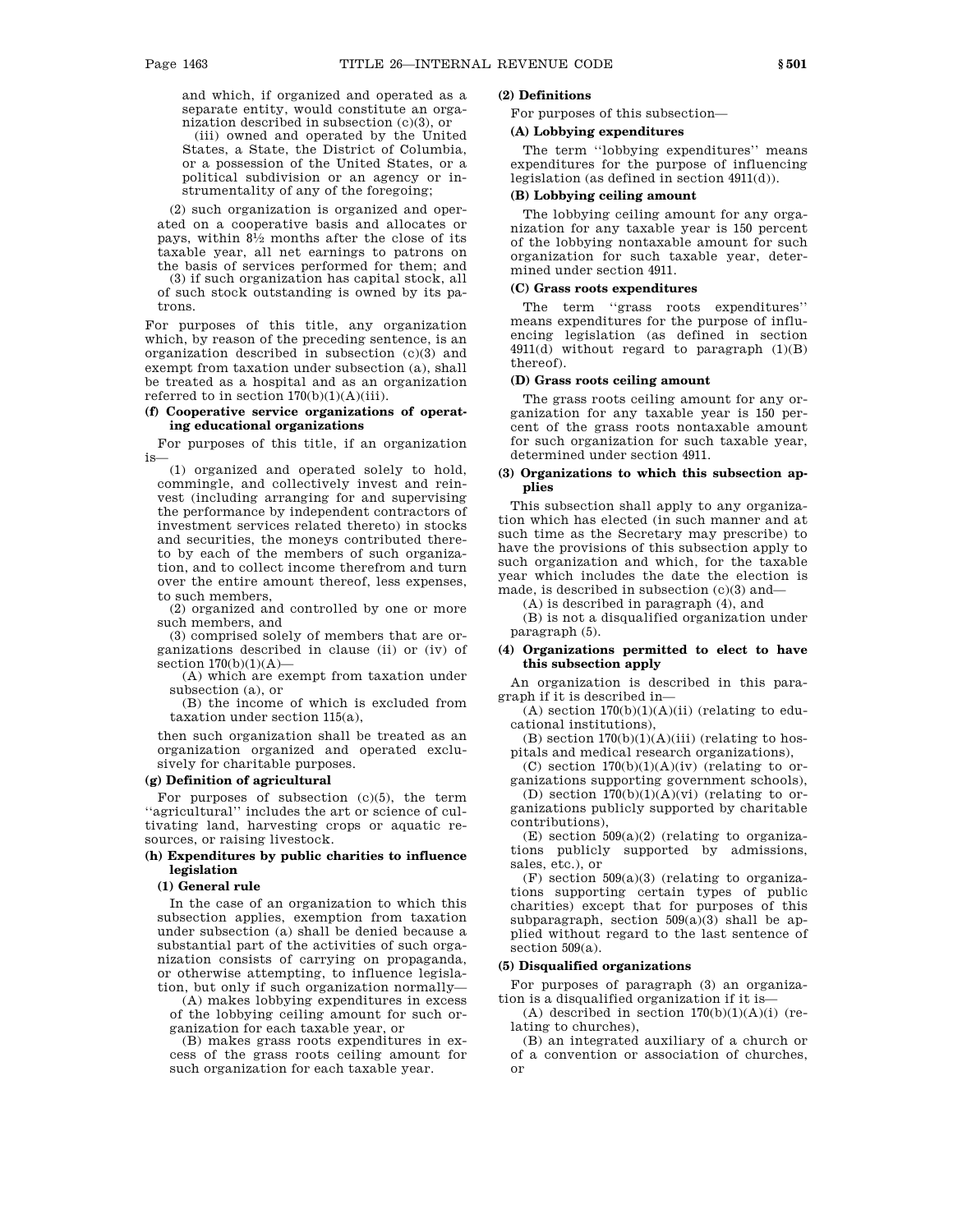and which, if organized and operated as a separate entity, would constitute an organization described in subsection (c)(3), or

(iii) owned and operated by the United States, a State, the District of Columbia, or a possession of the United States, or a political subdivision or an agency or instrumentality of any of the foregoing;

(2) such organization is organized and operated on a cooperative basis and allocates or pays, within 81 ⁄2 months after the close of its taxable year, all net earnings to patrons on the basis of services performed for them; and

(3) if such organization has capital stock, all of such stock outstanding is owned by its patrons.

For purposes of this title, any organization which, by reason of the preceding sentence, is an organization described in subsection (c)(3) and exempt from taxation under subsection (a), shall be treated as a hospital and as an organization referred to in section  $170(b)(1)(A)(iii)$ .

# **(f) Cooperative service organizations of operating educational organizations**

For purposes of this title, if an organization is—

(1) organized and operated solely to hold, commingle, and collectively invest and reinvest (including arranging for and supervising the performance by independent contractors of investment services related thereto) in stocks and securities, the moneys contributed thereto by each of the members of such organization, and to collect income therefrom and turn over the entire amount thereof, less expenses, to such members,

(2) organized and controlled by one or more such members, and

(3) comprised solely of members that are organizations described in clause (ii) or (iv) of section  $170(b)(1)(A)$ —

(A) which are exempt from taxation under subsection (a), or

(B) the income of which is excluded from taxation under section 115(a),

then such organization shall be treated as an organization organized and operated exclusively for charitable purposes.

### **(g) Definition of agricultural**

For purposes of subsection  $(c)(5)$ , the term "agricultural" includes the art or science of cultivating land, harvesting crops or aquatic resources, or raising livestock.

# **(h) Expenditures by public charities to influence legislation**

# **(1) General rule**

In the case of an organization to which this subsection applies, exemption from taxation under subsection (a) shall be denied because a substantial part of the activities of such organization consists of carrying on propaganda, or otherwise attempting, to influence legislation, but only if such organization normally—

(A) makes lobbying expenditures in excess of the lobbying ceiling amount for such organization for each taxable year, or

(B) makes grass roots expenditures in excess of the grass roots ceiling amount for such organization for each taxable year.

# **(2) Definitions**

For purposes of this subsection—

### **(A) Lobbying expenditures**

The term ''lobbying expenditures'' means expenditures for the purpose of influencing legislation (as defined in section 4911(d)).

# **(B) Lobbying ceiling amount**

The lobbying ceiling amount for any organization for any taxable year is 150 percent of the lobbying nontaxable amount for such organization for such taxable year, determined under section 4911.

# **(C) Grass roots expenditures**

The term ''grass roots expenditures'' means expenditures for the purpose of influencing legislation (as defined in section  $4911(d)$  without regard to paragraph  $(1)(B)$ thereof).

#### **(D) Grass roots ceiling amount**

The grass roots ceiling amount for any organization for any taxable year is 150 percent of the grass roots nontaxable amount for such organization for such taxable year, determined under section 4911.

# **(3) Organizations to which this subsection applies**

This subsection shall apply to any organization which has elected (in such manner and at such time as the Secretary may prescribe) to have the provisions of this subsection apply to such organization and which, for the taxable year which includes the date the election is made, is described in subsection (c)(3) and—

(A) is described in paragraph (4), and

(B) is not a disqualified organization under paragraph (5).

# **(4) Organizations permitted to elect to have this subsection apply**

An organization is described in this paragraph if it is described in—

(A) section  $170(b)(1)(A)(ii)$  (relating to educational institutions),

(B) section  $170(b)(1)(A)(iii)$  (relating to hospitals and medical research organizations),

(C) section  $170(b)(1)(A)(iv)$  (relating to organizations supporting government schools),

(D) section  $170(b)(1)(A)(vi)$  (relating to organizations publicly supported by charitable contributions),

(E) section  $509(a)(2)$  (relating to organizations publicly supported by admissions, sales, etc.), or

 $(F)$  section 509 $(a)(3)$  (relating to organizations supporting certain types of public charities) except that for purposes of this subparagraph, section 509(a)(3) shall be applied without regard to the last sentence of section 509(a).

# **(5) Disqualified organizations**

For purposes of paragraph (3) an organization is a disqualified organization if it is—

(A) described in section  $170(b)(1)(A)(i)$  (relating to churches),

(B) an integrated auxiliary of a church or of a convention or association of churches, or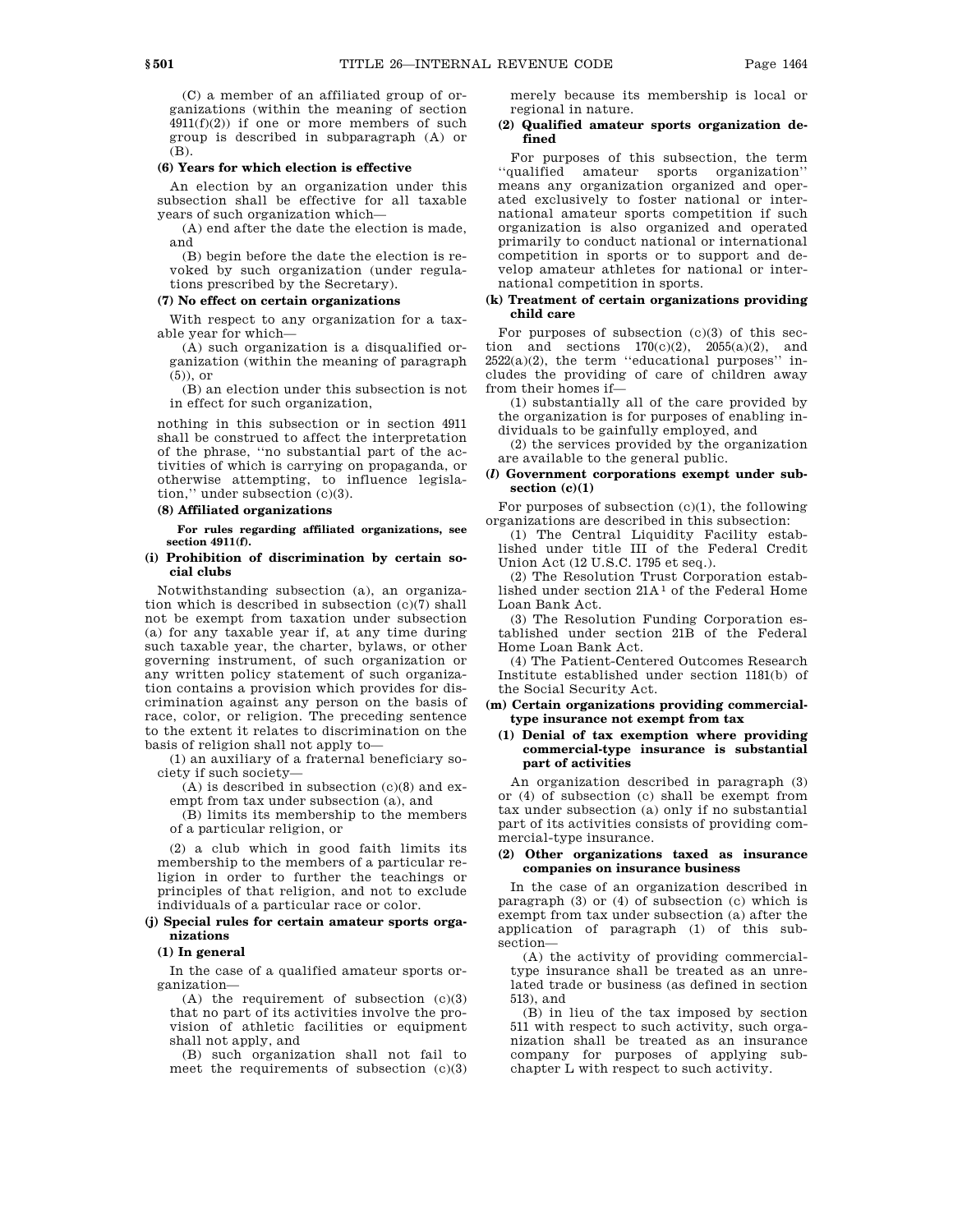(C) a member of an affiliated group of organizations (within the meaning of section  $4911(f)(2)$ ) if one or more members of such group is described in subparagraph (A) or (B).

#### **(6) Years for which election is effective**

An election by an organization under this subsection shall be effective for all taxable years of such organization which—

(A) end after the date the election is made, and

(B) begin before the date the election is revoked by such organization (under regulations prescribed by the Secretary).

#### **(7) No effect on certain organizations**

With respect to any organization for a taxable year for which—

(A) such organization is a disqualified organization (within the meaning of paragraph (5)), or

(B) an election under this subsection is not in effect for such organization,

nothing in this subsection or in section 4911 shall be construed to affect the interpretation of the phrase, ''no substantial part of the activities of which is carrying on propaganda, or otherwise attempting, to influence legislation,'' under subsection (c)(3).

# **(8) Affiliated organizations**

**For rules regarding affiliated organizations, see section 4911(f).**

# **(i) Prohibition of discrimination by certain social clubs**

Notwithstanding subsection (a), an organization which is described in subsection (c)(7) shall not be exempt from taxation under subsection (a) for any taxable year if, at any time during such taxable year, the charter, bylaws, or other governing instrument, of such organization or any written policy statement of such organization contains a provision which provides for discrimination against any person on the basis of race, color, or religion. The preceding sentence to the extent it relates to discrimination on the basis of religion shall not apply to—

(1) an auxiliary of a fraternal beneficiary society if such society—

 $(A)$  is described in subsection  $(c)(8)$  and exempt from tax under subsection (a), and

(B) limits its membership to the members of a particular religion, or

(2) a club which in good faith limits its membership to the members of a particular religion in order to further the teachings or principles of that religion, and not to exclude individuals of a particular race or color.

# **(j) Special rules for certain amateur sports organizations**

### **(1) In general**

In the case of a qualified amateur sports organization—

 $(A)$  the requirement of subsection  $(c)(3)$ that no part of its activities involve the provision of athletic facilities or equipment shall not apply, and

(B) such organization shall not fail to meet the requirements of subsection (c)(3) merely because its membership is local or regional in nature.

### **(2) Qualified amateur sports organization defined**

For purposes of this subsection, the term ''qualified amateur sports organization'' means any organization organized and operated exclusively to foster national or international amateur sports competition if such organization is also organized and operated primarily to conduct national or international competition in sports or to support and develop amateur athletes for national or international competition in sports.

## **(k) Treatment of certain organizations providing child care**

For purposes of subsection  $(c)(3)$  of this section and sections  $170(c)(2)$ ,  $2055(a)(2)$ , and  $2522(a)(2)$ , the term "educational purposes" includes the providing of care of children away from their homes if—

(1) substantially all of the care provided by the organization is for purposes of enabling individuals to be gainfully employed, and

(2) the services provided by the organization are available to the general public.

### **(***l***) Government corporations exempt under subsection (c)(1)**

For purposes of subsection  $(c)(1)$ , the following organizations are described in this subsection:

(1) The Central Liquidity Facility established under title III of the Federal Credit Union Act (12 U.S.C. 1795 et seq.).

(2) The Resolution Trust Corporation established under section 21A 1 of the Federal Home Loan Bank Act.

(3) The Resolution Funding Corporation established under section 21B of the Federal Home Loan Bank Act.

(4) The Patient-Centered Outcomes Research Institute established under section 1181(b) of the Social Security Act.

### **(m) Certain organizations providing commercialtype insurance not exempt from tax**

### **(1) Denial of tax exemption where providing commercial-type insurance is substantial part of activities**

An organization described in paragraph (3) or (4) of subsection (c) shall be exempt from tax under subsection (a) only if no substantial part of its activities consists of providing commercial-type insurance.

# **(2) Other organizations taxed as insurance companies on insurance business**

In the case of an organization described in paragraph (3) or (4) of subsection (c) which is exempt from tax under subsection (a) after the application of paragraph (1) of this subsection—

(A) the activity of providing commercialtype insurance shall be treated as an unrelated trade or business (as defined in section 513), and

(B) in lieu of the tax imposed by section 511 with respect to such activity, such organization shall be treated as an insurance company for purposes of applying subchapter L with respect to such activity.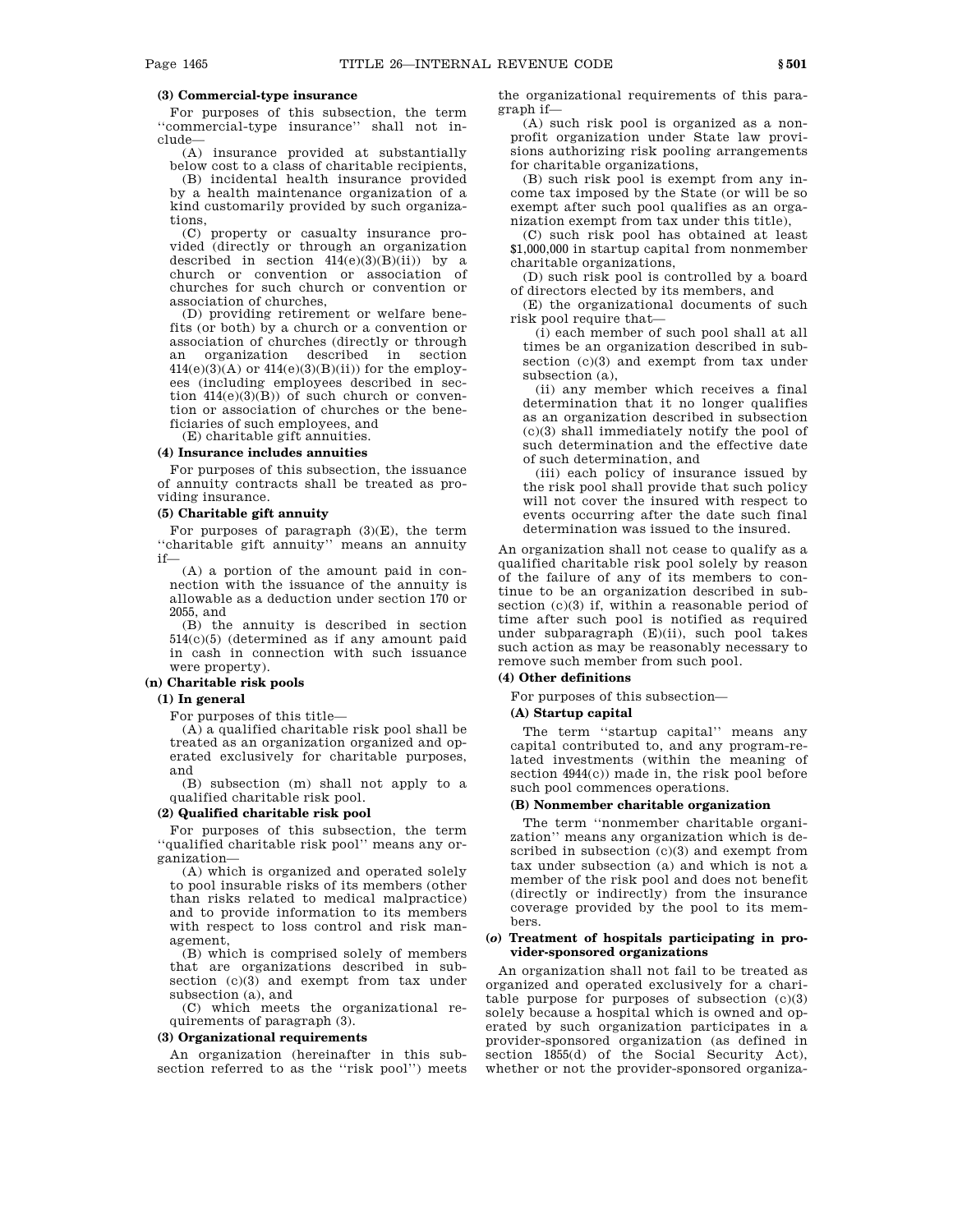# **(3) Commercial-type insurance**

For purposes of this subsection, the term ''commercial-type insurance'' shall not include—

(A) insurance provided at substantially below cost to a class of charitable recipients,

(B) incidental health insurance provided by a health maintenance organization of a kind customarily provided by such organizations,

(C) property or casualty insurance provided (directly or through an organization described in section  $414(e)(3)(B)(ii)$  by a church or convention or association of churches for such church or convention or association of churches,

(D) providing retirement or welfare benefits (or both) by a church or a convention or association of churches (directly or through an organization described in section  $414(e)(3)(A)$  or  $414(e)(3)(B)(ii)$  for the employees (including employees described in section  $414(e)(3)(B)$  of such church or convention or association of churches or the beneficiaries of such employees, and

(E) charitable gift annuities.

# **(4) Insurance includes annuities**

For purposes of this subsection, the issuance of annuity contracts shall be treated as providing insurance.

# **(5) Charitable gift annuity**

For purposes of paragraph (3)(E), the term ''charitable gift annuity'' means an annuity if—

(A) a portion of the amount paid in connection with the issuance of the annuity is allowable as a deduction under section 170 or 2055, and

(B) the annuity is described in section 514(c)(5) (determined as if any amount paid in cash in connection with such issuance were property).

# **(n) Charitable risk pools**

### **(1) In general**

For purposes of this title—

(A) a qualified charitable risk pool shall be treated as an organization organized and operated exclusively for charitable purposes, and

(B) subsection (m) shall not apply to a qualified charitable risk pool.

# **(2) Qualified charitable risk pool**

For purposes of this subsection, the term ''qualified charitable risk pool'' means any organization—

(A) which is organized and operated solely to pool insurable risks of its members (other than risks related to medical malpractice) and to provide information to its members with respect to loss control and risk management,

(B) which is comprised solely of members that are organizations described in subsection (c)(3) and exempt from tax under subsection (a), and

(C) which meets the organizational requirements of paragraph (3).

#### **(3) Organizational requirements**

An organization (hereinafter in this subsection referred to as the ''risk pool'') meets the organizational requirements of this paragraph if—

(A) such risk pool is organized as a nonprofit organization under State law provisions authorizing risk pooling arrangements for charitable organizations,

(B) such risk pool is exempt from any income tax imposed by the State (or will be so exempt after such pool qualifies as an organization exempt from tax under this title),

(C) such risk pool has obtained at least \$1,000,000 in startup capital from nonmember charitable organizations,

(D) such risk pool is controlled by a board of directors elected by its members, and

(E) the organizational documents of such risk pool require that—

(i) each member of such pool shall at all times be an organization described in subsection (c)(3) and exempt from tax under subsection (a),

(ii) any member which receives a final determination that it no longer qualifies as an organization described in subsection (c)(3) shall immediately notify the pool of such determination and the effective date of such determination, and

(iii) each policy of insurance issued by the risk pool shall provide that such policy will not cover the insured with respect to events occurring after the date such final determination was issued to the insured.

An organization shall not cease to qualify as a qualified charitable risk pool solely by reason of the failure of any of its members to continue to be an organization described in subsection (c)(3) if, within a reasonable period of time after such pool is notified as required under subparagraph (E)(ii), such pool takes such action as may be reasonably necessary to remove such member from such pool.

# **(4) Other definitions**

For purposes of this subsection—

### **(A) Startup capital**

The term ''startup capital'' means any capital contributed to, and any program-related investments (within the meaning of section 4944(c)) made in, the risk pool before such pool commences operations.

# **(B) Nonmember charitable organization**

The term ''nonmember charitable organization'' means any organization which is described in subsection (c)(3) and exempt from tax under subsection (a) and which is not a member of the risk pool and does not benefit (directly or indirectly) from the insurance coverage provided by the pool to its members.

### **(***o***) Treatment of hospitals participating in provider-sponsored organizations**

An organization shall not fail to be treated as organized and operated exclusively for a charitable purpose for purposes of subsection (c)(3) solely because a hospital which is owned and operated by such organization participates in a provider-sponsored organization (as defined in section 1855(d) of the Social Security Act), whether or not the provider-sponsored organiza-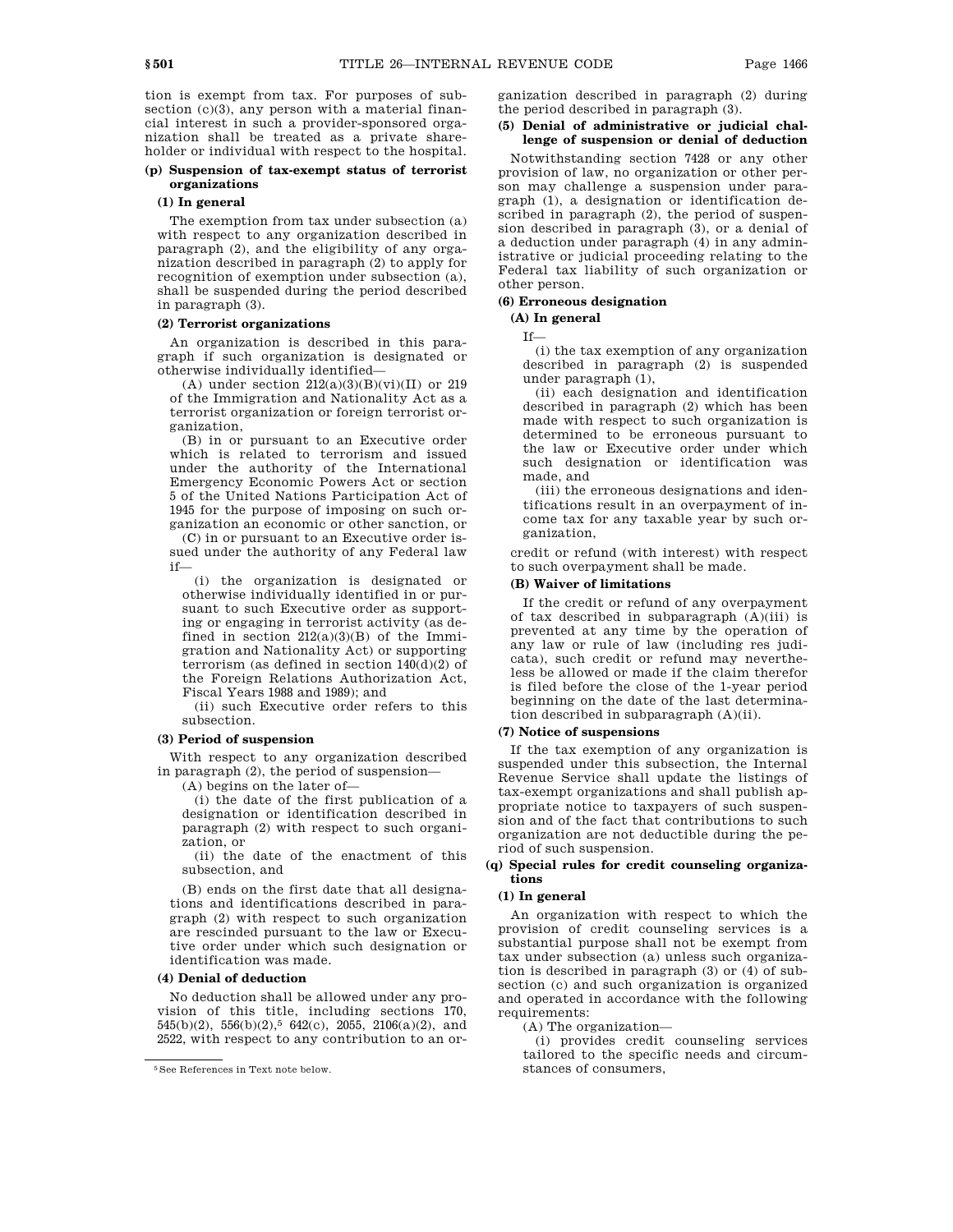tion is exempt from tax. For purposes of subsection  $(c)(3)$ , any person with a material financial interest in such a provider-sponsored organization shall be treated as a private shareholder or individual with respect to the hospital.

# **(p) Suspension of tax-exempt status of terrorist organizations**

# **(1) In general**

The exemption from tax under subsection (a) with respect to any organization described in paragraph (2), and the eligibility of any organization described in paragraph (2) to apply for recognition of exemption under subsection (a), shall be suspended during the period described in paragraph (3).

# **(2) Terrorist organizations**

An organization is described in this paragraph if such organization is designated or otherwise individually identified—

(A) under section  $212(a)(3)(B)(vi)(II)$  or  $219$ of the Immigration and Nationality Act as a terrorist organization or foreign terrorist organization,

(B) in or pursuant to an Executive order which is related to terrorism and issued under the authority of the International Emergency Economic Powers Act or section 5 of the United Nations Participation Act of 1945 for the purpose of imposing on such organization an economic or other sanction, or

(C) in or pursuant to an Executive order issued under the authority of any Federal law if—

(i) the organization is designated or otherwise individually identified in or pursuant to such Executive order as supporting or engaging in terrorist activity (as defined in section  $212(a)(3)(B)$  of the Immigration and Nationality Act) or supporting terrorism (as defined in section  $140(d)(2)$  of the Foreign Relations Authorization Act, Fiscal Years 1988 and 1989); and

(ii) such Executive order refers to this subsection.

### **(3) Period of suspension**

With respect to any organization described in paragraph (2), the period of suspension—

(A) begins on the later of—

(i) the date of the first publication of a designation or identification described in paragraph (2) with respect to such organization, or

(ii) the date of the enactment of this subsection, and

(B) ends on the first date that all designations and identifications described in paragraph (2) with respect to such organization are rescinded pursuant to the law or Executive order under which such designation or identification was made.

### **(4) Denial of deduction**

No deduction shall be allowed under any provision of this title, including sections 170, 545(b)(2), 556(b)(2),<sup>5</sup> 642(c), 2055, 2106(a)(2), and 2522, with respect to any contribution to an organization described in paragraph (2) during the period described in paragraph (3).

# **(5) Denial of administrative or judicial challenge of suspension or denial of deduction**

Notwithstanding section 7428 or any other provision of law, no organization or other person may challenge a suspension under paragraph (1), a designation or identification described in paragraph (2), the period of suspension described in paragraph (3), or a denial of a deduction under paragraph (4) in any administrative or judicial proceeding relating to the Federal tax liability of such organization or other person.

# **(6) Erroneous designation**

# **(A) In general**

If—

(i) the tax exemption of any organization described in paragraph (2) is suspended under paragraph (1),

(ii) each designation and identification described in paragraph (2) which has been made with respect to such organization is determined to be erroneous pursuant to the law or Executive order under which such designation or identification was made, and

(iii) the erroneous designations and identifications result in an overpayment of income tax for any taxable year by such organization,

credit or refund (with interest) with respect to such overpayment shall be made.

# **(B) Waiver of limitations**

If the credit or refund of any overpayment of tax described in subparagraph  $(A)(iii)$  is prevented at any time by the operation of any law or rule of law (including res judicata), such credit or refund may nevertheless be allowed or made if the claim therefor is filed before the close of the 1-year period beginning on the date of the last determination described in subparagraph (A)(ii).

### **(7) Notice of suspensions**

If the tax exemption of any organization is suspended under this subsection, the Internal Revenue Service shall update the listings of tax-exempt organizations and shall publish appropriate notice to taxpayers of such suspension and of the fact that contributions to such organization are not deductible during the period of such suspension.

### **(q) Special rules for credit counseling organizations**

# **(1) In general**

An organization with respect to which the provision of credit counseling services is a substantial purpose shall not be exempt from tax under subsection (a) unless such organization is described in paragraph (3) or (4) of subsection (c) and such organization is organized and operated in accordance with the following requirements:

(A) The organization—

(i) provides credit counseling services tailored to the specific needs and circumstances of consumers,

<sup>5</sup>See References in Text note below.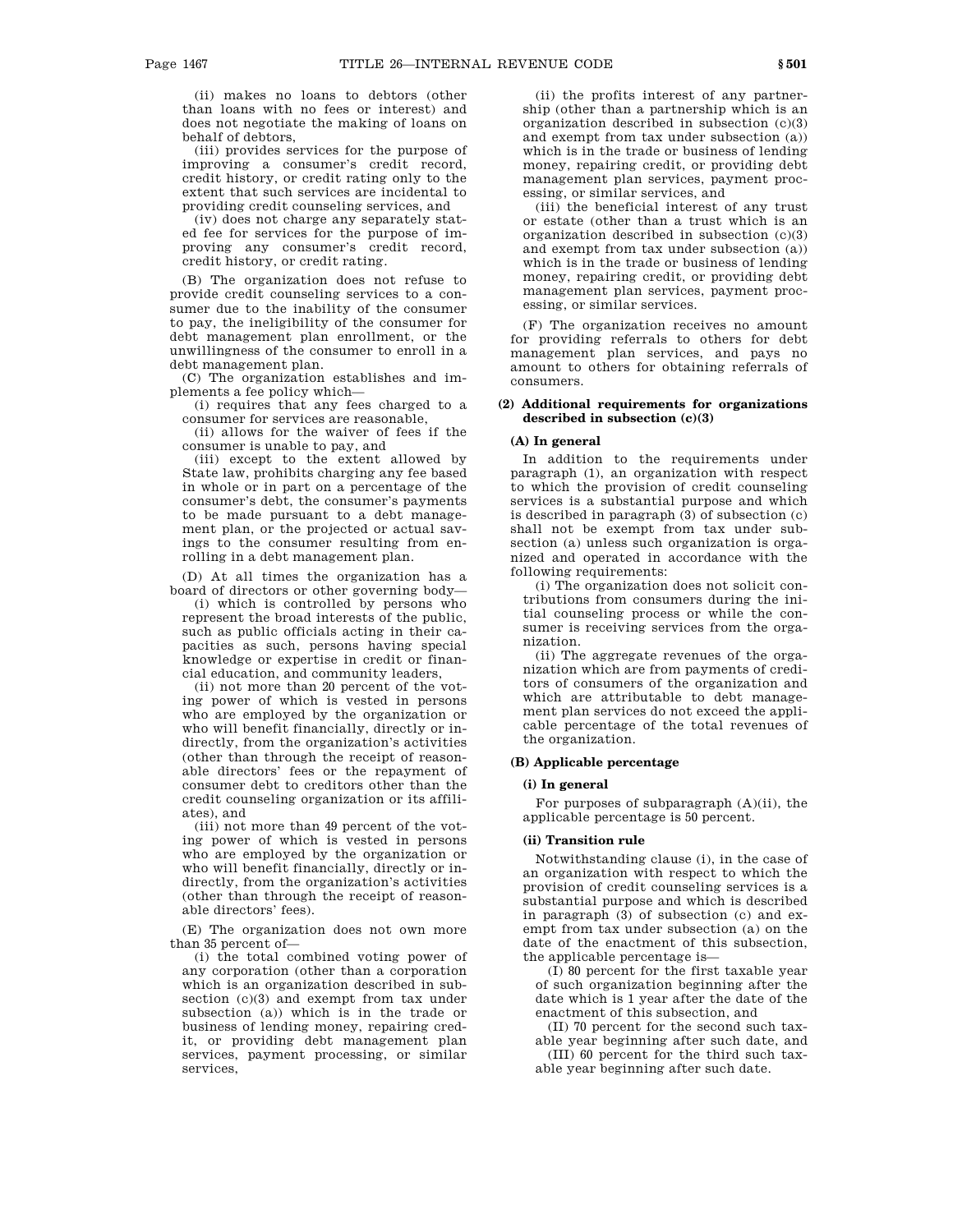(ii) makes no loans to debtors (other than loans with no fees or interest) and does not negotiate the making of loans on behalf of debtors,

(iii) provides services for the purpose of improving a consumer's credit record, credit history, or credit rating only to the extent that such services are incidental to providing credit counseling services, and

(iv) does not charge any separately stated fee for services for the purpose of improving any consumer's credit record, credit history, or credit rating.

(B) The organization does not refuse to provide credit counseling services to a consumer due to the inability of the consumer to pay, the ineligibility of the consumer for debt management plan enrollment, or the unwillingness of the consumer to enroll in a debt management plan.

(C) The organization establishes and implements a fee policy which—

(i) requires that any fees charged to a consumer for services are reasonable,

(ii) allows for the waiver of fees if the consumer is unable to pay, and

(iii) except to the extent allowed by State law, prohibits charging any fee based in whole or in part on a percentage of the consumer's debt, the consumer's payments to be made pursuant to a debt management plan, or the projected or actual savings to the consumer resulting from enrolling in a debt management plan.

(D) At all times the organization has a board of directors or other governing body—

(i) which is controlled by persons who represent the broad interests of the public, such as public officials acting in their capacities as such, persons having special knowledge or expertise in credit or financial education, and community leaders,

(ii) not more than 20 percent of the voting power of which is vested in persons who are employed by the organization or who will benefit financially, directly or indirectly, from the organization's activities (other than through the receipt of reasonable directors' fees or the repayment of consumer debt to creditors other than the credit counseling organization or its affiliates), and

(iii) not more than 49 percent of the voting power of which is vested in persons who are employed by the organization or who will benefit financially, directly or indirectly, from the organization's activities (other than through the receipt of reasonable directors' fees).

(E) The organization does not own more than 35 percent of—

(i) the total combined voting power of any corporation (other than a corporation which is an organization described in subsection (c)(3) and exempt from tax under subsection (a)) which is in the trade or business of lending money, repairing credit, or providing debt management plan services, payment processing, or similar services,

(ii) the profits interest of any partnership (other than a partnership which is an organization described in subsection (c)(3) and exempt from tax under subsection (a)) which is in the trade or business of lending money, repairing credit, or providing debt management plan services, payment processing, or similar services, and

(iii) the beneficial interest of any trust or estate (other than a trust which is an organization described in subsection (c)(3) and exempt from tax under subsection (a)) which is in the trade or business of lending money, repairing credit, or providing debt management plan services, payment processing, or similar services.

(F) The organization receives no amount for providing referrals to others for debt management plan services, and pays no amount to others for obtaining referrals of consumers.

### **(2) Additional requirements for organizations described in subsection (c)(3)**

### **(A) In general**

In addition to the requirements under paragraph (1), an organization with respect to which the provision of credit counseling services is a substantial purpose and which is described in paragraph (3) of subsection (c) shall not be exempt from tax under subsection (a) unless such organization is organized and operated in accordance with the following requirements:

(i) The organization does not solicit contributions from consumers during the initial counseling process or while the consumer is receiving services from the organization.

(ii) The aggregate revenues of the organization which are from payments of creditors of consumers of the organization and which are attributable to debt management plan services do not exceed the applicable percentage of the total revenues of the organization.

### **(B) Applicable percentage**

# **(i) In general**

For purposes of subparagraph (A)(ii), the applicable percentage is 50 percent.

### **(ii) Transition rule**

Notwithstanding clause (i), in the case of an organization with respect to which the provision of credit counseling services is a substantial purpose and which is described in paragraph (3) of subsection (c) and exempt from tax under subsection (a) on the date of the enactment of this subsection, the applicable percentage is—

(I) 80 percent for the first taxable year of such organization beginning after the date which is 1 year after the date of the enactment of this subsection, and

(II) 70 percent for the second such taxable year beginning after such date, and

(III) 60 percent for the third such taxable year beginning after such date.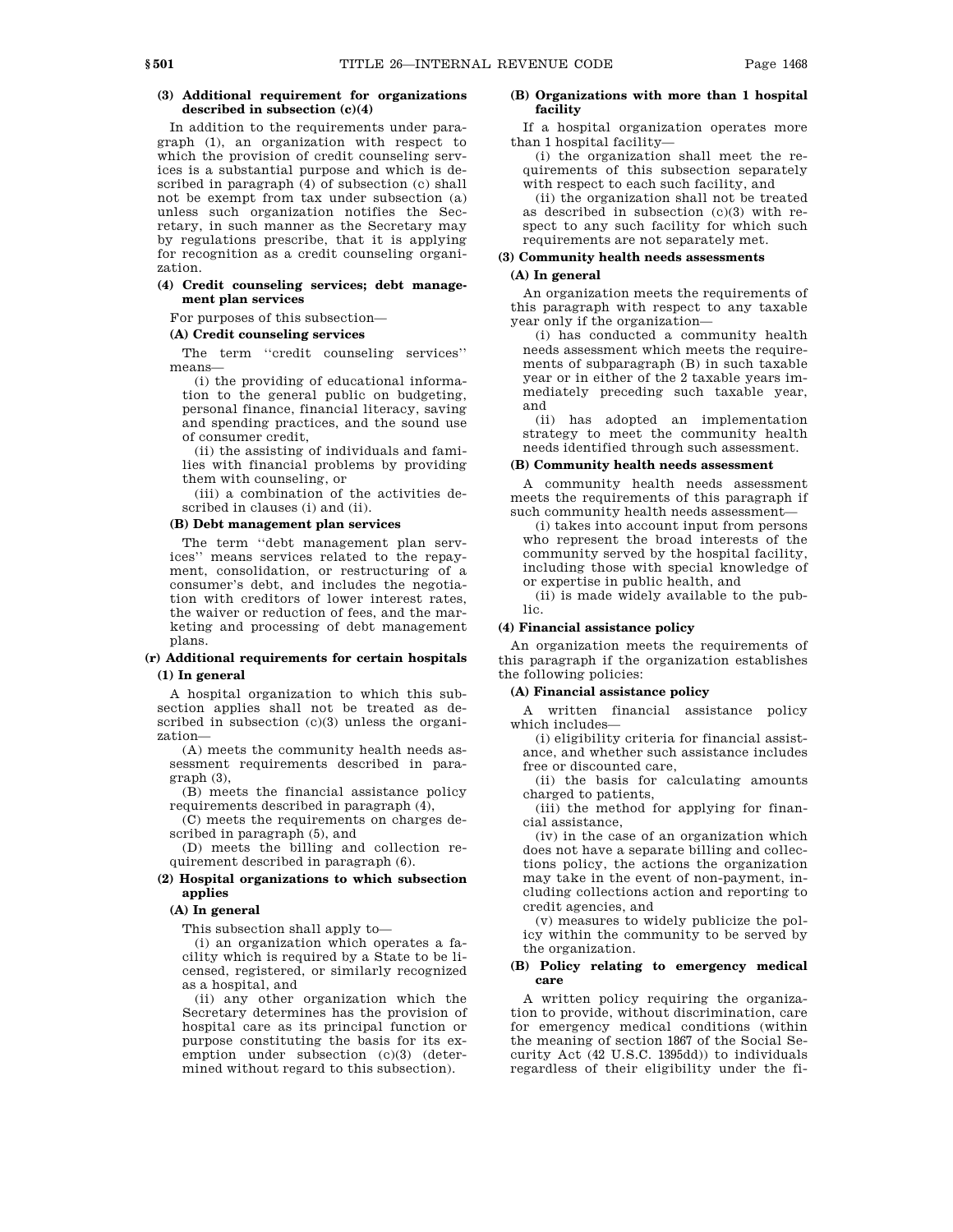### **(3) Additional requirement for organizations described in subsection (c)(4)**

In addition to the requirements under paragraph (1), an organization with respect to which the provision of credit counseling services is a substantial purpose and which is described in paragraph (4) of subsection (c) shall not be exempt from tax under subsection (a) unless such organization notifies the Secretary, in such manner as the Secretary may by regulations prescribe, that it is applying for recognition as a credit counseling organization.

### **(4) Credit counseling services; debt management plan services**

For purposes of this subsection—

### **(A) Credit counseling services**

The term ''credit counseling services'' means—

(i) the providing of educational information to the general public on budgeting, personal finance, financial literacy, saving and spending practices, and the sound use of consumer credit,

(ii) the assisting of individuals and families with financial problems by providing them with counseling, or

(iii) a combination of the activities described in clauses (i) and (ii).

### **(B) Debt management plan services**

The term ''debt management plan services'' means services related to the repayment, consolidation, or restructuring of a consumer's debt, and includes the negotiation with creditors of lower interest rates, the waiver or reduction of fees, and the marketing and processing of debt management plans.

# **(r) Additional requirements for certain hospitals (1) In general**

A hospital organization to which this subsection applies shall not be treated as described in subsection  $(c)(3)$  unless the organization—

(A) meets the community health needs assessment requirements described in paragraph (3),

(B) meets the financial assistance policy requirements described in paragraph (4),

(C) meets the requirements on charges described in paragraph (5), and

(D) meets the billing and collection requirement described in paragraph (6).

# **(2) Hospital organizations to which subsection applies**

#### **(A) In general**

This subsection shall apply to—

(i) an organization which operates a facility which is required by a State to be licensed, registered, or similarly recognized as a hospital, and

(ii) any other organization which the Secretary determines has the provision of hospital care as its principal function or purpose constituting the basis for its exemption under subsection (c)(3) (determined without regard to this subsection).

# **(B) Organizations with more than 1 hospital facility**

If a hospital organization operates more than 1 hospital facility—

(i) the organization shall meet the requirements of this subsection separately with respect to each such facility, and

(ii) the organization shall not be treated as described in subsection (c)(3) with respect to any such facility for which such requirements are not separately met.

### **(3) Community health needs assessments**

# **(A) In general**

An organization meets the requirements of this paragraph with respect to any taxable year only if the organization—

(i) has conducted a community health needs assessment which meets the requirements of subparagraph (B) in such taxable year or in either of the 2 taxable years immediately preceding such taxable year, and

(ii) has adopted an implementation strategy to meet the community health needs identified through such assessment.

#### **(B) Community health needs assessment**

A community health needs assessment meets the requirements of this paragraph if such community health needs assessment—

(i) takes into account input from persons who represent the broad interests of the community served by the hospital facility, including those with special knowledge of or expertise in public health, and

(ii) is made widely available to the public.

### **(4) Financial assistance policy**

An organization meets the requirements of this paragraph if the organization establishes the following policies:

### **(A) Financial assistance policy**

A written financial assistance policy which includes—

(i) eligibility criteria for financial assistance, and whether such assistance includes free or discounted care,

(ii) the basis for calculating amounts charged to patients,

(iii) the method for applying for financial assistance,

(iv) in the case of an organization which does not have a separate billing and collections policy, the actions the organization may take in the event of non-payment, including collections action and reporting to credit agencies, and

(v) measures to widely publicize the policy within the community to be served by the organization.

### **(B) Policy relating to emergency medical care**

A written policy requiring the organization to provide, without discrimination, care for emergency medical conditions (within the meaning of section 1867 of the Social Security Act (42 U.S.C. 1395dd)) to individuals regardless of their eligibility under the fi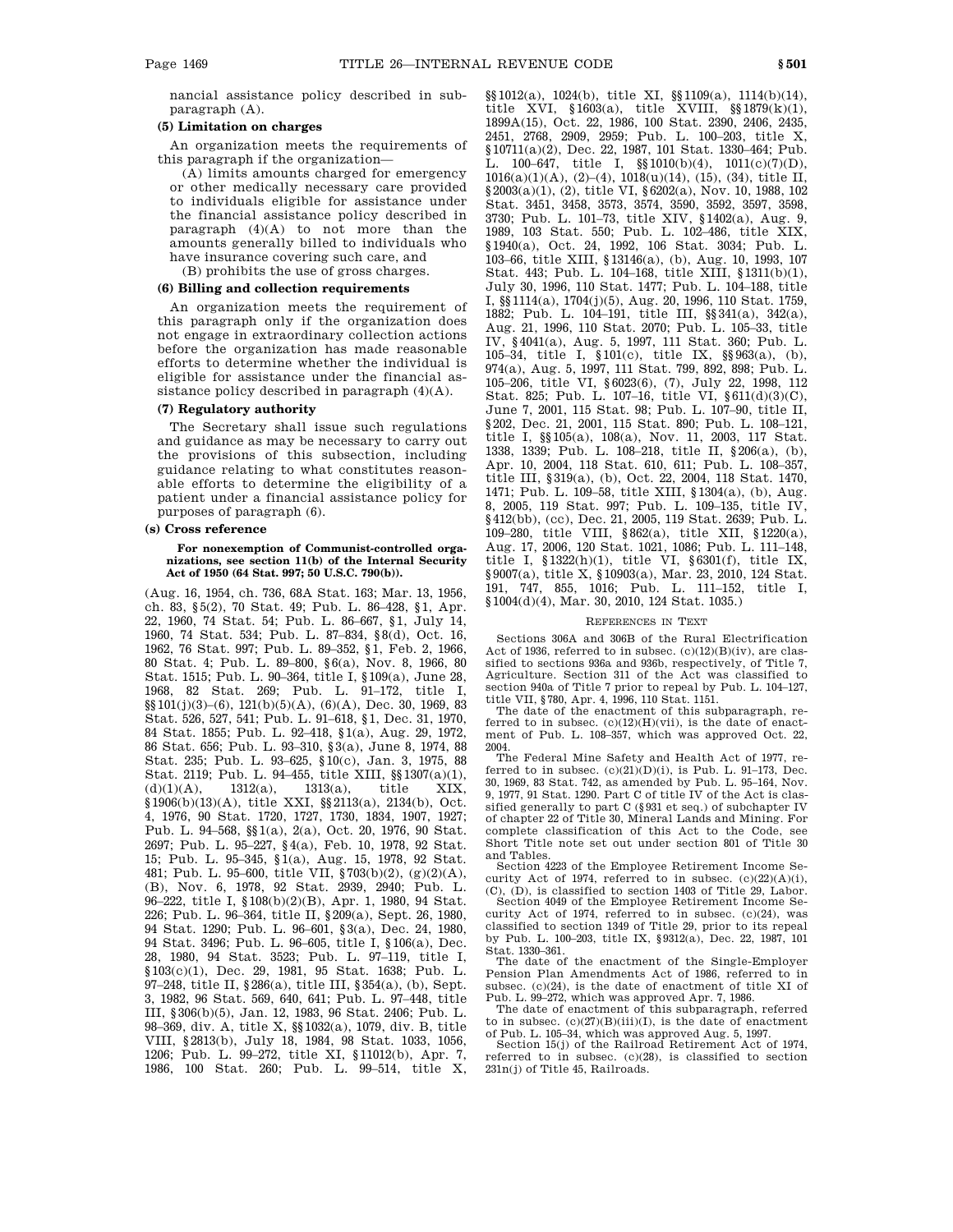nancial assistance policy described in subparagraph (A).

# **(5) Limitation on charges**

An organization meets the requirements of this paragraph if the organization—

(A) limits amounts charged for emergency or other medically necessary care provided to individuals eligible for assistance under the financial assistance policy described in paragraph (4)(A) to not more than the amounts generally billed to individuals who have insurance covering such care, and

(B) prohibits the use of gross charges.

# **(6) Billing and collection requirements**

An organization meets the requirement of this paragraph only if the organization does not engage in extraordinary collection actions before the organization has made reasonable efforts to determine whether the individual is eligible for assistance under the financial assistance policy described in paragraph (4)(A).

# **(7) Regulatory authority**

The Secretary shall issue such regulations and guidance as may be necessary to carry out the provisions of this subsection, including guidance relating to what constitutes reasonable efforts to determine the eligibility of a patient under a financial assistance policy for purposes of paragraph (6).

# **(s) Cross reference**

**For nonexemption of Communist-controlled organizations, see section 11(b) of the Internal Security Act of 1950 (64 Stat. 997; 50 U.S.C. 790(b)).**

(Aug. 16, 1954, ch. 736, 68A Stat. 163; Mar. 13, 1956, ch. 83, §5(2), 70 Stat. 49; Pub. L. 86–428, §1, Apr. 22, 1960, 74 Stat. 54; Pub. L. 86–667, §1, July 14, 1960, 74 Stat. 534; Pub. L. 87–834, §8(d), Oct. 16, 1962, 76 Stat. 997; Pub. L. 89–352, §1, Feb. 2, 1966, 80 Stat. 4; Pub. L. 89–800, §6(a), Nov. 8, 1966, 80 Stat. 1515; Pub. L. 90–364, title I, §109(a), June 28, 1968, 82 Stat. 269; Pub. L. 91–172, title I, §§101(j)(3)–(6), 121(b)(5)(A), (6)(A), Dec. 30, 1969, 83 Stat. 526, 527, 541; Pub. L. 91–618, §1, Dec. 31, 1970, 84 Stat. 1855; Pub. L. 92–418, §1(a), Aug. 29, 1972, 86 Stat. 656; Pub. L. 93–310, §3(a), June 8, 1974, 88 Stat. 235; Pub. L. 93–625, §10(c), Jan. 3, 1975, 88 Stat. 2119; Pub. L. 94–455, title XIII, §§1307(a)(1),  $(d)(1)(A),$  1312(a), 1313(a), title XIX, §1906(b)(13)(A), title XXI, §§2113(a), 2134(b), Oct. 4, 1976, 90 Stat. 1720, 1727, 1730, 1834, 1907, 1927; Pub. L. 94–568, §§1(a), 2(a), Oct. 20, 1976, 90 Stat. 2697; Pub. L. 95–227, §4(a), Feb. 10, 1978, 92 Stat. 15; Pub. L. 95–345, §1(a), Aug. 15, 1978, 92 Stat. 481; Pub. L. 95–600, title VII, §703(b)(2), (g)(2)(A), (B), Nov. 6, 1978, 92 Stat. 2939, 2940; Pub. L. 96–222, title I, §108(b)(2)(B), Apr. 1, 1980, 94 Stat. 226; Pub. L. 96–364, title II, §209(a), Sept. 26, 1980, 94 Stat. 1290; Pub. L. 96–601, §3(a), Dec. 24, 1980, 94 Stat. 3496; Pub. L. 96–605, title I, §106(a), Dec. 28, 1980, 94 Stat. 3523; Pub. L. 97–119, title I, §103(c)(1), Dec. 29, 1981, 95 Stat. 1638; Pub. L. 97–248, title II, §286(a), title III, §354(a), (b), Sept. 3, 1982, 96 Stat. 569, 640, 641; Pub. L. 97–448, title III, §306(b)(5), Jan. 12, 1983, 96 Stat. 2406; Pub. L. 98–369, div. A, title X, §§1032(a), 1079, div. B, title VIII, §2813(b), July 18, 1984, 98 Stat. 1033, 1056, 1206; Pub. L. 99–272, title XI, §11012(b), Apr. 7, 1986, 100 Stat. 260; Pub. L. 99–514, title X, §§1012(a), 1024(b), title XI, §§1109(a), 1114(b)(14), title XVI, §1603(a), title XVIII, §§1879(k)(1), 1899A(15), Oct. 22, 1986, 100 Stat. 2390, 2406, 2435, 2451, 2768, 2909, 2959; Pub. L. 100–203, title X, §10711(a)(2), Dec. 22, 1987, 101 Stat. 1330–464; Pub. L. 100–647, title I, §§1010(b)(4), 1011(c)(7)(D), 1016(a)(1)(A), (2)–(4), 1018(u)(14), (15), (34), title II, §2003(a)(1), (2), title VI, §6202(a), Nov. 10, 1988, 102 Stat. 3451, 3458, 3573, 3574, 3590, 3592, 3597, 3598, 3730; Pub. L. 101–73, title XIV, §1402(a), Aug. 9, 1989, 103 Stat. 550; Pub. L. 102–486, title XIX, §1940(a), Oct. 24, 1992, 106 Stat. 3034; Pub. L. 103–66, title XIII, §13146(a), (b), Aug. 10, 1993, 107 Stat. 443; Pub. L. 104–168, title XIII, §1311(b)(1), July 30, 1996, 110 Stat. 1477; Pub. L. 104–188, title I, §§1114(a), 1704(j)(5), Aug. 20, 1996, 110 Stat. 1759, 1882; Pub. L. 104–191, title III, §§341(a), 342(a), Aug. 21, 1996, 110 Stat. 2070; Pub. L. 105–33, title IV, §4041(a), Aug. 5, 1997, 111 Stat. 360; Pub. L. 105–34, title I, §101(c), title IX, §§963(a), (b), 974(a), Aug. 5, 1997, 111 Stat. 799, 892, 898; Pub. L. 105–206, title VI, §6023(6), (7), July 22, 1998, 112 Stat. 825; Pub. L. 107–16, title VI, §611(d)(3)(C), June 7, 2001, 115 Stat. 98; Pub. L. 107–90, title II, §202, Dec. 21, 2001, 115 Stat. 890; Pub. L. 108–121, title I, §§105(a), 108(a), Nov. 11, 2003, 117 Stat. 1338, 1339; Pub. L. 108–218, title II, §206(a), (b), Apr. 10, 2004, 118 Stat. 610, 611; Pub. L. 108–357, title III, §319(a), (b), Oct. 22, 2004, 118 Stat. 1470, 1471; Pub. L. 109–58, title XIII, §1304(a), (b), Aug. 8, 2005, 119 Stat. 997; Pub. L. 109–135, title IV, §412(bb), (cc), Dec. 21, 2005, 119 Stat. 2639; Pub. L. 109–280, title VIII, §862(a), title XII, §1220(a), Aug. 17, 2006, 120 Stat. 1021, 1086; Pub. L. 111–148,

title I, §1322(h)(1), title VI, §6301(f), title IX, §9007(a), title X, §10903(a), Mar. 23, 2010, 124 Stat. 191, 747, 855, 1016; Pub. L. 111–152, title I, §1004(d)(4), Mar. 30, 2010, 124 Stat. 1035.)

#### REFERENCES IN TEXT

Sections 306A and 306B of the Rural Electrification Act of 1936, referred to in subsec.  $(c)(12)(B)(iv)$ , are classified to sections 936a and 936b, respectively, of Title 7, Agriculture. Section 311 of the Act was classified to section 940a of Title 7 prior to repeal by Pub. L. 104–127,

title VII, §780, Apr. 4, 1996, 110 Stat. 1151. The date of the enactment of this subparagraph, referred to in subsec.  $(c)(12)(H)(Vii)$ , is the date of enactment of Pub. L. 108–357, which was approved Oct. 22, 2004.

The Federal Mine Safety and Health Act of 1977, referred to in subsec.  $(c)(21)(D)(i)$ , is Pub. L. 91-173, Dec. 30, 1969, 83 Stat. 742, as amended by Pub. L. 95–164, Nov. 9, 1977, 91 Stat. 1290. Part C of title IV of the Act is classified generally to part C (§931 et seq.) of subchapter IV of chapter 22 of Title 30, Mineral Lands and Mining. For complete classification of this Act to the Code, see Short Title note set out under section 801 of Title 30 and Tables.

Section 4223 of the Employee Retirement Income Security Act of 1974, referred to in subsec.  $(c)(22)(A)(i)$ , (C), (D), is classified to section 1403 of Title 29, Labor.

Section 4049 of the Employee Retirement Income Security Act of 1974, referred to in subsec. (c)(24), was classified to section 1349 of Title 29, prior to its repeal by Pub. L. 100–203, title IX, §9312(a), Dec. 22, 1987, 101 Stat. 1330–361.

The date of the enactment of the Single-Employer Pension Plan Amendments Act of 1986, referred to in subsec. (c)(24), is the date of enactment of title XI of Pub. L. 99–272, which was approved Apr. 7, 1986. The date of enactment of this subparagraph, referred

to in subsec.  $(c)(27)(B)(iii)(I)$ , is the date of enactment of Pub. L. 105–34, which was approved Aug. 5, 1997.

Section 15(j) of the Railroad Retirement Act of 1974, referred to in subsec. (c)(28), is classified to section 231n(j) of Title 45, Railroads.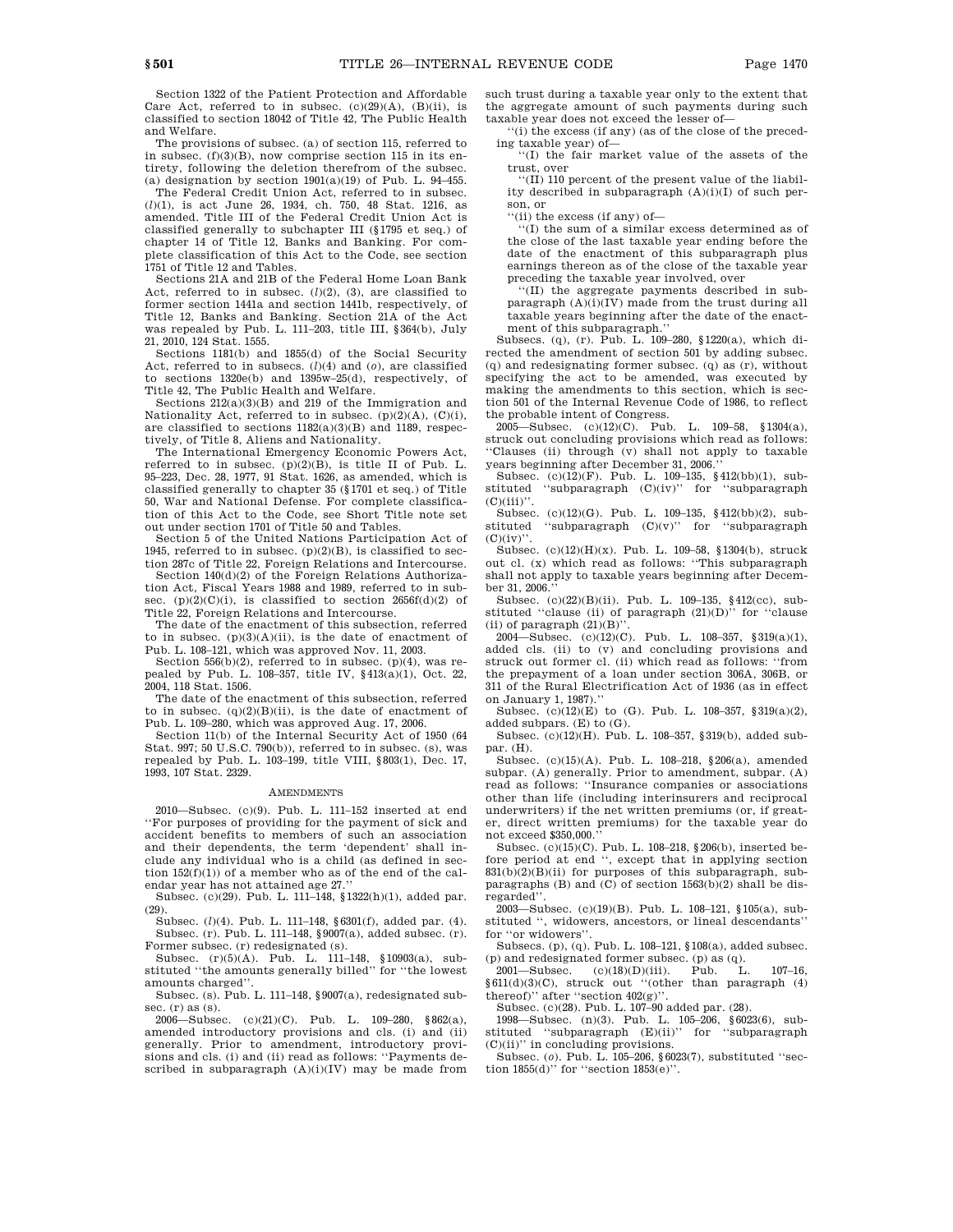Section 1322 of the Patient Protection and Affordable

Care Act, referred to in subsec.  $(c)(29)(A)$ ,  $(B)(ii)$ , is classified to section 18042 of Title 42, The Public Health and Welfare. The provisions of subsec. (a) of section 115, referred to

in subsec. (f)(3)(B), now comprise section 115 in its entirety, following the deletion therefrom of the subsec. (a) designation by section  $1901(a)(19)$  of Pub. L. 94-455.

The Federal Credit Union Act, referred to in subsec. (*l*)(1), is act June 26, 1934, ch. 750, 48 Stat. 1216, as amended. Title III of the Federal Credit Union Act is classified generally to subchapter III (§1795 et seq.) of chapter 14 of Title 12, Banks and Banking. For complete classification of this Act to the Code, see section 1751 of Title 12 and Tables.

Sections 21A and 21B of the Federal Home Loan Bank Act, referred to in subsec.  $(l)(2)$ ,  $(3)$ , are classified to former section 1441a and section 1441b, respectively, of Title 12, Banks and Banking. Section 21A of the Act was repealed by Pub. L. 111–203, title III, §364(b), July 21, 2010, 124 Stat. 1555.

Sections 1181(b) and 1855(d) of the Social Security Act, referred to in subsecs. (*l*)(4) and (*o*), are classified to sections 1320e(b) and 1395w–25(d), respectively, of Title 42, The Public Health and Welfare.

Sections 212(a)(3)(B) and 219 of the Immigration and Nationality Act, referred to in subsec.  $(p)(2)(A)$ ,  $(C)(i)$ , are classified to sections 1182(a)(3)(B) and 1189, respectively, of Title 8, Aliens and Nationality.

The International Emergency Economic Powers Act, referred to in subsec.  $(p)(2)(B)$ , is title II of Pub. L. 95–223, Dec. 28, 1977, 91 Stat. 1626, as amended, which is classified generally to chapter 35 (§1701 et seq.) of Title 50, War and National Defense. For complete classification of this Act to the Code, see Short Title note set out under section 1701 of Title 50 and Tables.

Section 5 of the United Nations Participation Act of 1945, referred to in subsec.  $(p)(2)(B)$ , is classified to section 287c of Title 22, Foreign Relations and Intercourse.

Section 140(d)(2) of the Foreign Relations Authorization Act, Fiscal Years 1988 and 1989, referred to in subsec.  $(p)(2)(C)(i)$ , is classified to section  $2656f(d)(2)$  of Title 22, Foreign Relations and Intercourse.

The date of the enactment of this subsection, referred to in subsec.  $(p)(3)(A)(ii)$ , is the date of enactment of Pub. L. 108–121, which was approved Nov. 11, 2003.

Section 556(b)(2), referred to in subsec. (p)(4), was repealed by Pub. L. 108–357, title IV, §413(a)(1), Oct. 22, 2004, 118 Stat. 1506.

The date of the enactment of this subsection, referred to in subsec.  $(q)(2)(B)(ii)$ , is the date of enactment of Pub. L. 109–280, which was approved Aug. 17, 2006.

Section 11(b) of the Internal Security Act of 1950 (64 Stat. 997; 50 U.S.C. 790(b)), referred to in subsec. (s), was repealed by Pub. L. 103–199, title VIII, §803(1), Dec. 17, 1993, 107 Stat. 2329.

#### **AMENDMENTS**

2010—Subsec. (c)(9). Pub. L. 111–152 inserted at end ''For purposes of providing for the payment of sick and accident benefits to members of such an association and their dependents, the term 'dependent' shall include any individual who is a child (as defined in section  $152(f)(1)$  of a member who as of the end of the calendar year has not attained age 27.

Subsec. (c)(29). Pub. L. 111–148, §1322(h)(1), added par. (29).

Subsec. (*l*)(4). Pub. L. 111–148, §6301(f), added par. (4). Subsec. (r). Pub. L. 111–148,  $\frac{1}{20007(a)}$ , added subsec. (r). Former subsec. (r) redesignated (s).

Subsec. (r)(5)(A). Pub. L. 111–148, §10903(a), substituted ''the amounts generally billed'' for ''the lowest amounts charged''.

Subsec. (s). Pub. L. 111–148, §9007(a), redesignated subsec.  $(r)$  as  $(s)$ .

2006—Subsec. (c)(21)(C). Pub. L. 109–280, §862(a), amended introductory provisions and cls. (i) and (ii) generally. Prior to amendment, introductory provisions and cls. (i) and (ii) read as follows: ''Payments described in subparagraph (A)(i)(IV) may be made from such trust during a taxable year only to the extent that the aggregate amount of such payments during such taxable year does not exceed the lesser of—

''(i) the excess (if any) (as of the close of the preceding taxable year) of—

''(I) the fair market value of the assets of the trust, over

''(II) 110 percent of the present value of the liability described in subparagraph (A)(i)(I) of such person, or

''(ii) the excess (if any) of—

''(I) the sum of a similar excess determined as of the close of the last taxable year ending before the date of the enactment of this subparagraph plus earnings thereon as of the close of the taxable year preceding the taxable year involved, over

''(II) the aggregate payments described in subparagraph  $(A)(i)(IV)$  made from the trust during all taxable years beginning after the date of the enactment of this subparagraph.''

Subsecs. (q), (r). Pub. L. 109–280, §1220(a), which directed the amendment of section 501 by adding subsec. (q) and redesignating former subsec. (q) as (r), without specifying the act to be amended, was executed by making the amendments to this section, which is section 501 of the Internal Revenue Code of 1986, to reflect the probable intent of Congress.

2005—Subsec. (c)(12)(C). Pub. L. 109–58, §1304(a), struck out concluding provisions which read as follows: ''Clauses (ii) through (v) shall not apply to taxable years beginning after December 31, 2006.

Subsec. (c)(12)(F). Pub. L. 109–135, §412(bb)(1), substituted ''subparagraph (C)(iv)'' for ''subparagraph  $(C)(iii)$ 

Subsec. (c)(12)(G). Pub. L. 109–135, §412(bb)(2), sub-<br>stituted "subparagraph (C)(y)" for "subparagraph "subparagraph  $(C)(v)$ " for "subparagraph"  $(C)(iv)$ ".

Subsec. (c)(12)(H)(x). Pub. L. 109–58, §1304(b), struck out cl. (x) which read as follows: ''This subparagraph shall not apply to taxable years beginning after December 31, 2006.

Subsec. (c)(22)(B)(ii). Pub. L. 109–135, §412(cc), substituted ''clause (ii) of paragraph (21)(D)'' for ''clause (ii) of paragraph  $(21)(B)'$ 

2004—Subsec. (c)(12)(C). Pub. L. 108-357, §319(a)(1), added cls. (ii) to (v) and concluding provisions and struck out former cl. (ii) which read as follows: ''from the prepayment of a loan under section 306A, 306B, or 311 of the Rural Electrification Act of 1936 (as in effect on January 1, 1987).

Subsec.  $(c)(12)(E)$  to  $(G)$ . Pub. L. 108-357, §319(a)(2), added subpars. (E) to (G).

Subsec. (c)(12)(H). Pub. L. 108–357, §319(b), added subpar. (H).

Subsec. (c)(15)(A). Pub. L. 108–218, §206(a), amended subpar. (A) generally. Prior to amendment, subpar. (A) read as follows: ''Insurance companies or associations other than life (including interinsurers and reciprocal underwriters) if the net written premiums (or, if greater, direct written premiums) for the taxable year do not exceed \$350,000.''

Subsec. (c)(15)(C). Pub. L. 108–218, §206(b), inserted before period at end '', except that in applying section 831(b)(2)(B)(ii) for purposes of this subparagraph, subparagraphs  $(B)$  and  $(C)$  of section 1563 $(b)(2)$  shall be disregarded''.

2003—Subsec. (c)(19)(B). Pub. L. 108–121, §105(a), substituted '', widowers, ancestors, or lineal descendants'' for "or widowers"

Subsecs. (p), (q). Pub. L. 108–121, §108(a), added subsec.

(p) and redesignated former subsec. (p) as  $(q)$ .<br>2001—Subsec.  $(c)(18)(D)(iii)$ . Pub. L. 107-16,  $§611(d)(3)(C)$ , struck out "(other than paragraph (4) thereof)'' after ''section 402(g)''.

Subsec. (c)(28). Pub. L. 107–90 added par. (28).

1998—Subsec. (n)(3). Pub. L. 105–206, §6023(6), substituted ''subparagraph (E)(ii)'' for ''subparagraph

(C)(ii)'' in concluding provisions. Subsec. (*o*). Pub. L. 105–206, §6023(7), substituted ''section 1855(d)'' for ''section 1853(e)''.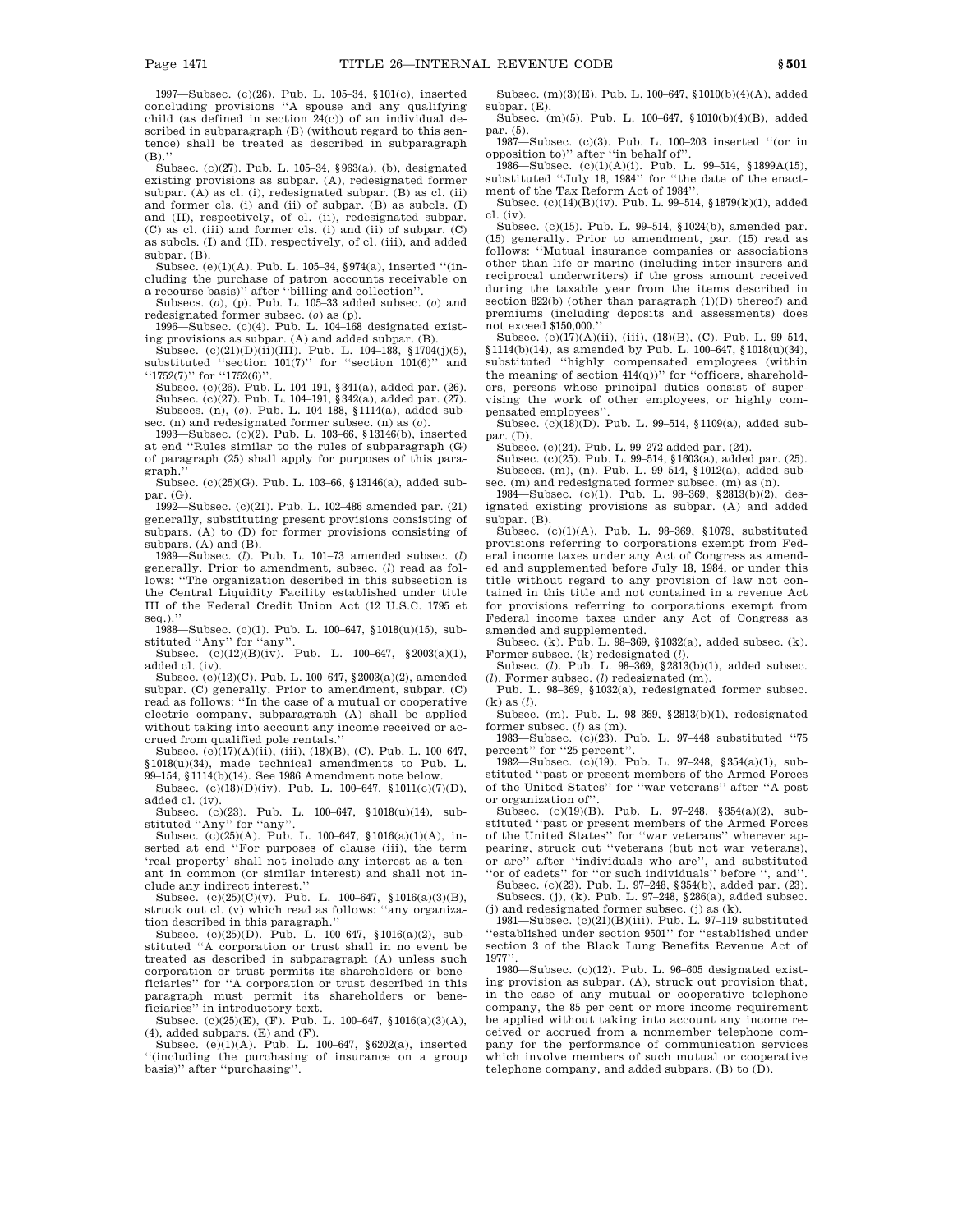1997—Subsec. (c)(26). Pub. L. 105–34, §101(c), inserted concluding provisions ''A spouse and any qualifying child (as defined in section 24(c)) of an individual described in subparagraph (B) (without regard to this sentence) shall be treated as described in subparagraph  $(B)$ .

Subsec. (c)(27). Pub. L. 105–34, §963(a), (b), designated existing provisions as subpar. (A), redesignated former subpar. (A) as cl. (i), redesignated subpar. (B) as cl. (ii) and former cls. (i) and (ii) of subpar. (B) as subcls. (I) and (II), respectively, of cl. (ii), redesignated subpar. (C) as cl. (iii) and former cls. (i) and (ii) of subpar. (C) as subcls. (I) and (II), respectively, of cl. (iii), and added subpar. (B).

Subsec. (e)(1)(A). Pub. L. 105–34, §974(a), inserted ''(including the purchase of patron accounts receivable on a recourse basis)'' after ''billing and collection''.

Subsecs. (*o*), (p). Pub. L. 105–33 added subsec. (*o*) and

redesignated former subsec. (*o*) as (p). 1996—Subsec. (c)(4). Pub. L. 104–168 designated existing provisions as subpar. (A) and added subpar. (B).

Subsec. (c)(21)(D)(ii)(III). Pub. L. 104-188, §1704(j)(5), substituted ''section 101(7)'' for ''section 101(6)'' and ''1752(7)'' for ''1752(6)''.

Subsec. (c)(26). Pub. L. 104–191, §341(a), added par. (26). Subsec. (c)(27). Pub. L. 104–191, §342(a), added par. (27). Subsecs. (n), (*o*). Pub. L. 104–188, §1114(a), added subsec. (n) and redesignated former subsec. (n) as (*o*).

1993—Subsec. (c)(2). Pub. L. 103–66, §13146(b), inserted at end ''Rules similar to the rules of subparagraph (G) of paragraph (25) shall apply for purposes of this paragraph.''

Subsec. (c)(25)(G). Pub. L. 103–66, §13146(a), added subpar. (G).

1992—Subsec. (c)(21). Pub. L. 102–486 amended par. (21) generally, substituting present provisions consisting of subpars. (A) to (D) for former provisions consisting of

subpars. (A) and (B). 1989—Subsec. (*l*). Pub. L. 101–73 amended subsec. (*l*) generally. Prior to amendment, subsec. (*l*) read as follows: ''The organization described in this subsection is the Central Liquidity Facility established under title III of the Federal Credit Union Act (12 U.S.C. 1795 et seq.).''

1988—Subsec. (c)(1). Pub. L. 100–647, §1018(u)(15), sub-

stituted "Any" for "any".<br>Subsec. (c)(12)(B)(iv). Pub. L. 100–647, §2003(a)(1), added cl. (iv).

Subsec. (c)(12)(C). Pub. L. 100–647, §2003(a)(2), amended subpar. (C) generally. Prior to amendment, subpar. (C) read as follows: ''In the case of a mutual or cooperative electric company, subparagraph (A) shall be applied without taking into account any income received or accrued from qualified pole rentals.''

Subsec.  $(c)(17)(A)(ii)$ ,  $(iii)$ ,  $(18)(B)$ ,  $(C)$ . Pub. L. 100–647, §1018(u)(34), made technical amendments to Pub. L. 99–154, §1114(b)(14). See 1986 Amendment note below.

Subsec. (c)(18)(D)(iv). Pub. L. 100–647, §1011(c)(7)(D), added cl. (iv).

Subsec. (c)(23). Pub. L. 100–647, §1018(u)(14), substituted ''Any'' for ''any''.

Subsec. (c)(25)(A). Pub. L. 100–647, §1016(a)(1)(A), inserted at end ''For purposes of clause (iii), the term 'real property' shall not include any interest as a tenant in common (or similar interest) and shall not include any indirect interest.''

Subsec.  $(c)(25)(C)(v)$ . Pub. L. 100–647, §1016(a)(3)(B), struck out cl. (v) which read as follows: ''any organiza-

tion described in this paragraph.'' Subsec. (c)(25)(D). Pub. L. 100–647, §1016(a)(2), substituted ''A corporation or trust shall in no event be treated as described in subparagraph (A) unless such corporation or trust permits its shareholders or beneficiaries'' for ''A corporation or trust described in this paragraph must permit its shareholders or beneficiaries'' in introductory text.

Subsec. (c)(25)(E), (F). Pub. L. 100–647, §1016(a)(3)(A),  $\left( 4\right) ,$  added subpars.  $\left( \mathrm{E}\right)$  and  $\left( \mathrm{F}\right) .$ 

Subsec. (e)(1)(A). Pub. L. 100–647, §6202(a), inserted ''(including the purchasing of insurance on a group basis)'' after ''purchasing''.

Subsec. (m)(3)(E). Pub. L. 100–647, §1010(b)(4)(A), added subpar. (E).

Subsec. (m)(5). Pub. L. 100–647, §1010(b)(4)(B), added par. (5).

1987—Subsec. (c)(3). Pub. L. 100–203 inserted ''(or in opposition to)'' after ''in behalf of''.

1986—Subsec. (c)(1)(A)(i). Pub. L. 99–514, §1899A(15), substituted ''July 18, 1984'' for ''the date of the enactment of the Tax Reform Act of 1984''.

Subsec. (c)(14)(B)(iv). Pub. L. 99–514, §1879(k)(1), added cl. (iv).

Subsec. (c)(15). Pub. L. 99–514, §1024(b), amended par. (15) generally. Prior to amendment, par. (15) read as follows: ''Mutual insurance companies or associations other than life or marine (including inter-insurers and reciprocal underwriters) if the gross amount received during the taxable year from the items described in section 822(b) (other than paragraph (1)(D) thereof) and premiums (including deposits and assessments) does not exceed \$150,000.''

Subsec. (c)(17)(A)(ii), (iii), (18)(B), (C). Pub. L. 99–514, §1114(b)(14), as amended by Pub. L. 100–647, §1018(u)(34), substituted ''highly compensated employees (within the meaning of section  $414(q)$ )" for "officers, shareholders, persons whose principal duties consist of supervising the work of other employees, or highly compensated employees''.

Subsec. (c)(18)(D). Pub. L. 99–514, §1109(a), added subpar. (D).

Subsec. (c)(24). Pub. L. 99–272 added par. (24).

Subsec. (c)(25). Pub. L. 99–514, §1603(a), added par. (25). Subsecs. (m), (n). Pub. L. 99–514, §1012(a), added subsec. (m) and redesignated former subsec. (m) as (n).

1984—Subsec. (c)(1). Pub. L. 98–369, §2813(b)(2), designated existing provisions as subpar. (A) and added subpar. (B).

Subsec.  $(c)(1)(A)$ . Pub. L. 98-369, §1079, substituted provisions referring to corporations exempt from Federal income taxes under any Act of Congress as amended and supplemented before July 18, 1984, or under this title without regard to any provision of law not contained in this title and not contained in a revenue Act for provisions referring to corporations exempt from Federal income taxes under any Act of Congress as amended and supplemented.

Subsec. (k). Pub. L. 98–369, §1032(a), added subsec. (k). Former subsec. (k) redesignated (*l*).

Subsec. (*l*). Pub. L. 98–369, §2813(b)(1), added subsec. (*l*). Former subsec. (*l*) redesignated (m).

Pub. L. 98–369, §1032(a), redesignated former subsec. (k) as (*l*). Subsec. (m). Pub. L. 98–369, §2813(b)(1), redesignated

former subsec. (*l*) as (m).

1983—Subsec. (c)(23). Pub. L. 97–448 substituted ''75 percent'' for ''25 percent''.

1982—Subsec. (c)(19). Pub. L. 97–248, §354(a)(1), substituted ''past or present members of the Armed Forces of the United States'' for ''war veterans'' after ''A post or organization of''.

Subsec. (c)(19)(B). Pub. L. 97–248, §354(a)(2), substituted ''past or present members of the Armed Forces of the United States'' for ''war veterans'' wherever appearing, struck out ''veterans (but not war veterans), or are'' after ''individuals who are'', and substituted

''or of cadets'' for ''or such individuals'' before '', and''. Subsec. (c)(23). Pub. L. 97–248, §354(b), added par. (23). Subsecs. (j), (k). Pub. L. 97–248, §286(a), added subsec.

(j) and redesignated former subsec. (j) as (k). 1981—Subsec. (c)(21)(B)(iii). Pub. L. 97–119 substituted ''established under section 9501'' for ''established under section 3 of the Black Lung Benefits Revenue Act of 1977''.

1980—Subsec. (c)(12). Pub. L. 96–605 designated existing provision as subpar. (A), struck out provision that, in the case of any mutual or cooperative telephone company, the 85 per cent or more income requirement be applied without taking into account any income received or accrued from a nonmember telephone company for the performance of communication services which involve members of such mutual or cooperative telephone company, and added subpars. (B) to (D).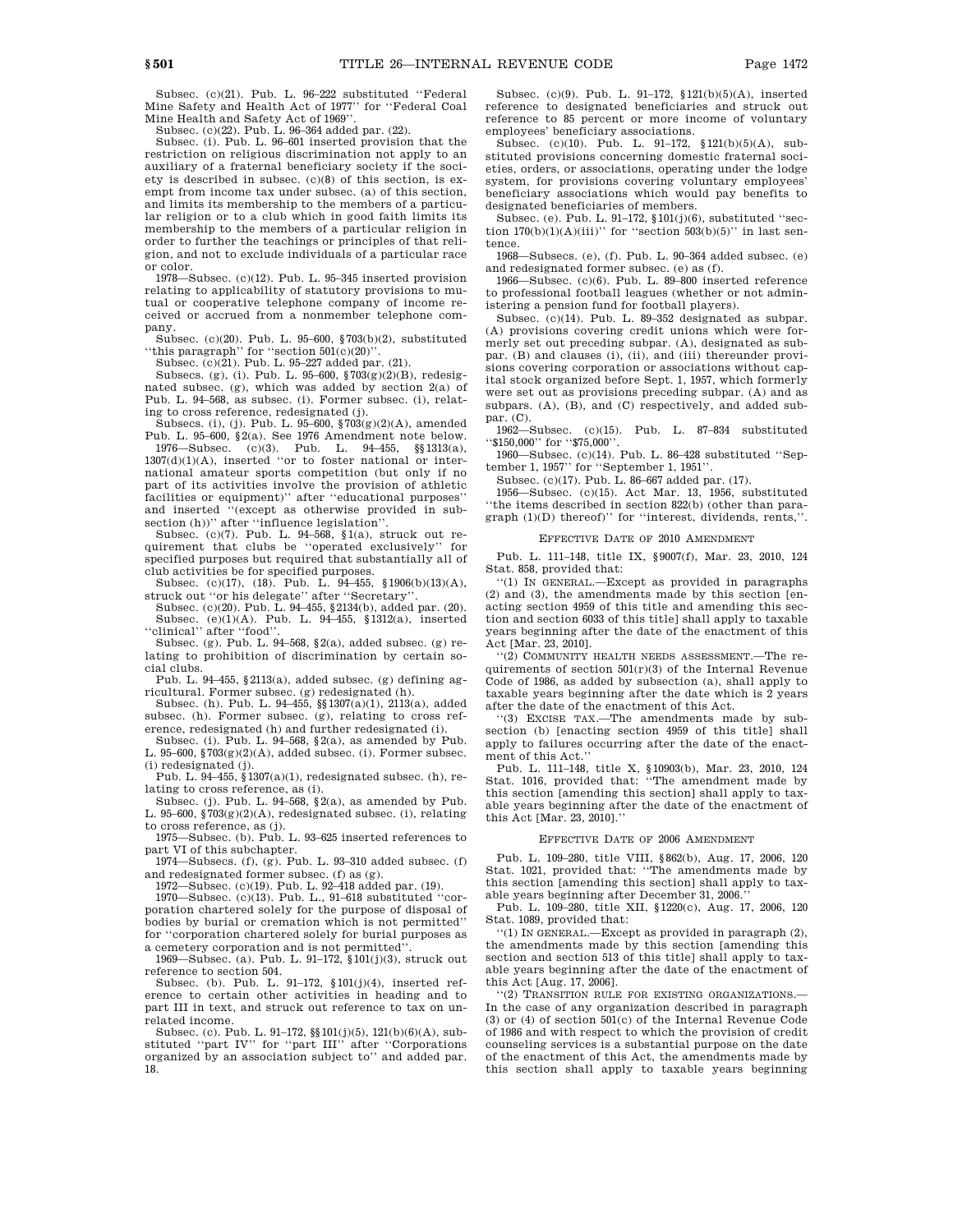Subsec. (c)(21). Pub. L. 96–222 substituted ''Federal Mine Safety and Health Act of 1977'' for ''Federal Coal Mine Health and Safety Act of 1969''.

Subsec. (c)(22). Pub. L. 96–364 added par. (22).

Subsec. (i). Pub. L. 96–601 inserted provision that the restriction on religious discrimination not apply to an auxiliary of a fraternal beneficiary society if the society is described in subsec. (c)(8) of this section, is exempt from income tax under subsec. (a) of this section, and limits its membership to the members of a particular religion or to a club which in good faith limits its membership to the members of a particular religion in order to further the teachings or principles of that religion, and not to exclude individuals of a particular race or color.

1978—Subsec. (c)(12). Pub. L. 95–345 inserted provision relating to applicability of statutory provisions to mutual or cooperative telephone company of income received or accrued from a nonmember telephone company.

Subsec. (c)(20). Pub. L. 95–600, §703(b)(2), substituted "this paragraph" for "section  $501(c)(20)$ "

Subsec. (c)(21). Pub. L. 95–227 added par. (21).

Subsecs. (g), (i). Pub. L. 95–600, §703(g)(2)(B), redesignated subsec. (g), which was added by section 2(a) of Pub. L. 94–568, as subsec. (i). Former subsec. (i), relating to cross reference, redesignated (j).

Subsecs. (i), (j). Pub. L. 95–600, §703(g)(2)(A), amended Pub. L. 95–600, §2(a). See 1976 Amendment note below. 1976—Subsec. (c)(3). Pub. L. 94–455, §§1313(a),

 $1307(d)(1)(A)$ , inserted "or to foster national or international amateur sports competition (but only if no part of its activities involve the provision of athletic facilities or equipment)'' after "educational purposes" and inserted ''(except as otherwise provided in subsection (h))" after "influence legislation".

Subsec. (c)(7). Pub. L. 94–568, §1(a), struck out requirement that clubs be ''operated exclusively'' for specified purposes but required that substantially all of

club activities be for specified purposes. Subsec. (c)(17), (18). Pub. L. 94–455, §1906(b)(13)(A), struck out "or his delegate" after "Secretary

Subsec. (c)(20). Pub. L. 94–455, §2134(b), added par. (20). Subsec. (e)(1)(A). Pub. L. 94–455, §1312(a), inserted ''clinical'' after ''food''.

Subsec. (g). Pub. L. 94–568, §2(a), added subsec. (g) relating to prohibition of discrimination by certain social clubs.

Pub. L. 94–455, §2113(a), added subsec. (g) defining agricultural. Former subsec. (g) redesignated (h).

Subsec. (h). Pub. L. 94–455, §§1307(a)(1), 2113(a), added subsec. (h). Former subsec. (g), relating to cross ref-

erence, redesignated (h) and further redesignated (i). Subsec. (i). Pub. L. 94–568, §2(a), as amended by Pub. L. 95–600,  $\sqrt[8]{703(g)(2)(A)}$  , added subsec. (i). Former subsec. (i) redesignated (j).

Pub. L.  $94-455$ , §1307(a)(1), redesignated subsec. (h), relating to cross reference, as (i).

Subsec. (j). Pub. L. 94–568,  $\S 2(a)$ , as amended by Pub. L. 95–600,  $\sqrt[8]{7}03(g)(2)(A)$ , redesignated subsec. (i), relating to cross reference, as (j).

1975—Subsec. (b). Pub. L. 93–625 inserted references to part VI of this subchapter.

1974—Subsecs. (f), (g). Pub. L. 93–310 added subsec. (f) and redesignated former subsec. (f) as (g).

1972—Subsec. (c)(19). Pub. L. 92–418 added par. (19).

1970—Subsec. (c)(13). Pub. L., 91–618 substituted ''corporation chartered solely for the purpose of disposal of bodies by burial or cremation which is not permitted'' for ''corporation chartered solely for burial purposes as a cemetery corporation and is not permitted'

1969—Subsec. (a). Pub. L. 91–172, §101(j)(3), struck out reference to section 504.

Subsec. (b). Pub. L. 91–172, §101(j)(4), inserted reference to certain other activities in heading and to part III in text, and struck out reference to tax on unrelated income.

Subsec. (c). Pub. L. 91–172, §§101(j)(5), 121(b)(6)(A), substituted ''part IV'' for ''part III'' after ''Corporations organized by an association subject to'' and added par. 18.

Subsec. (c)(9). Pub. L. 91–172, §121(b)(5)(A), inserted reference to designated beneficiaries and struck out reference to 85 percent or more income of voluntary employees' beneficiary associations.

Subsec. (c)(10). Pub. L. 91–172, §121(b)(5)(A), substituted provisions concerning domestic fraternal societies, orders, or associations, operating under the lodge system, for provisions covering voluntary employees' beneficiary associations which would pay benefits to designated beneficiaries of members.

Subsec. (e). Pub. L. 91–172, §101(j)(6), substituted ''section  $170(b)(1)(A)(iii)$ " for "section  $503(b)(5)$ " in last sentence.

1968—Subsecs. (e), (f). Pub. L. 90–364 added subsec. (e) and redesignated former subsec. (e) as (f).

1966—Subsec. (c)(6). Pub. L. 89–800 inserted reference to professional football leagues (whether or not administering a pension fund for football players).

Subsec. (c)(14). Pub. L. 89–352 designated as subpar. (A) provisions covering credit unions which were formerly set out preceding subpar. (A), designated as subpar. (B) and clauses (i), (ii), and (iii) thereunder provisions covering corporation or associations without capital stock organized before Sept. 1, 1957, which formerly were set out as provisions preceding subpar. (A) and as subpars. (A), (B), and (C) respectively, and added subpar. (C).

1962—Subsec. (c)(15). Pub. L. 87–834 substituted '\$150,000" for "\$75,000"

1960—Subsec. (c)(14). Pub. L. 86–428 substituted ''September 1, 1957'' for ''September 1, 1951''.

Subsec. (c)(17). Pub. L. 86–667 added par. (17).

1956—Subsec. (c)(15). Act Mar. 13, 1956, substituted ''the items described in section 822(b) (other than paragraph (1)(D) thereof)'' for ''interest, dividends, rents,''.

#### EFFECTIVE DATE OF 2010 AMENDMENT

Pub. L. 111–148, title IX, §9007(f), Mar. 23, 2010, 124 Stat. 858, provided that:

''(1) IN GENERAL.—Except as provided in paragraphs (2) and (3), the amendments made by this section [enacting section 4959 of this title and amending this section and section 6033 of this title] shall apply to taxable years beginning after the date of the enactment of this Act [Mar. 23, 2010].

''(2) COMMUNITY HEALTH NEEDS ASSESSMENT.—The requirements of section  $501(r)(3)$  of the Internal Revenue Code of 1986, as added by subsection (a), shall apply to taxable years beginning after the date which is 2 years after the date of the enactment of this Act.

''(3) EXCISE TAX.—The amendments made by subsection (b) [enacting section 4959 of this title] shall apply to failures occurring after the date of the enactment of this Act.''

Pub. L. 111–148, title X, §10903(b), Mar. 23, 2010, 124 Stat. 1016, provided that: ''The amendment made by this section [amending this section] shall apply to taxable years beginning after the date of the enactment of this Act [Mar. 23, 2010].''

#### EFFECTIVE DATE OF 2006 AMENDMENT

Pub. L. 109–280, title VIII, §862(b), Aug. 17, 2006, 120 Stat. 1021, provided that: ''The amendments made by this section [amending this section] shall apply to taxable years beginning after December 31, 2006.

Pub. L. 109–280, title XII, §1220(c), Aug. 17, 2006, 120 Stat. 1089, provided that:

''(1) IN GENERAL.—Except as provided in paragraph (2), the amendments made by this section [amending this section and section 513 of this title] shall apply to taxable years beginning after the date of the enactment of this Act [Aug. 17, 2006].

''(2) TRANSITION RULE FOR EXISTING ORGANIZATIONS.— In the case of any organization described in paragraph (3) or (4) of section 501(c) of the Internal Revenue Code of 1986 and with respect to which the provision of credit counseling services is a substantial purpose on the date of the enactment of this Act, the amendments made by this section shall apply to taxable years beginning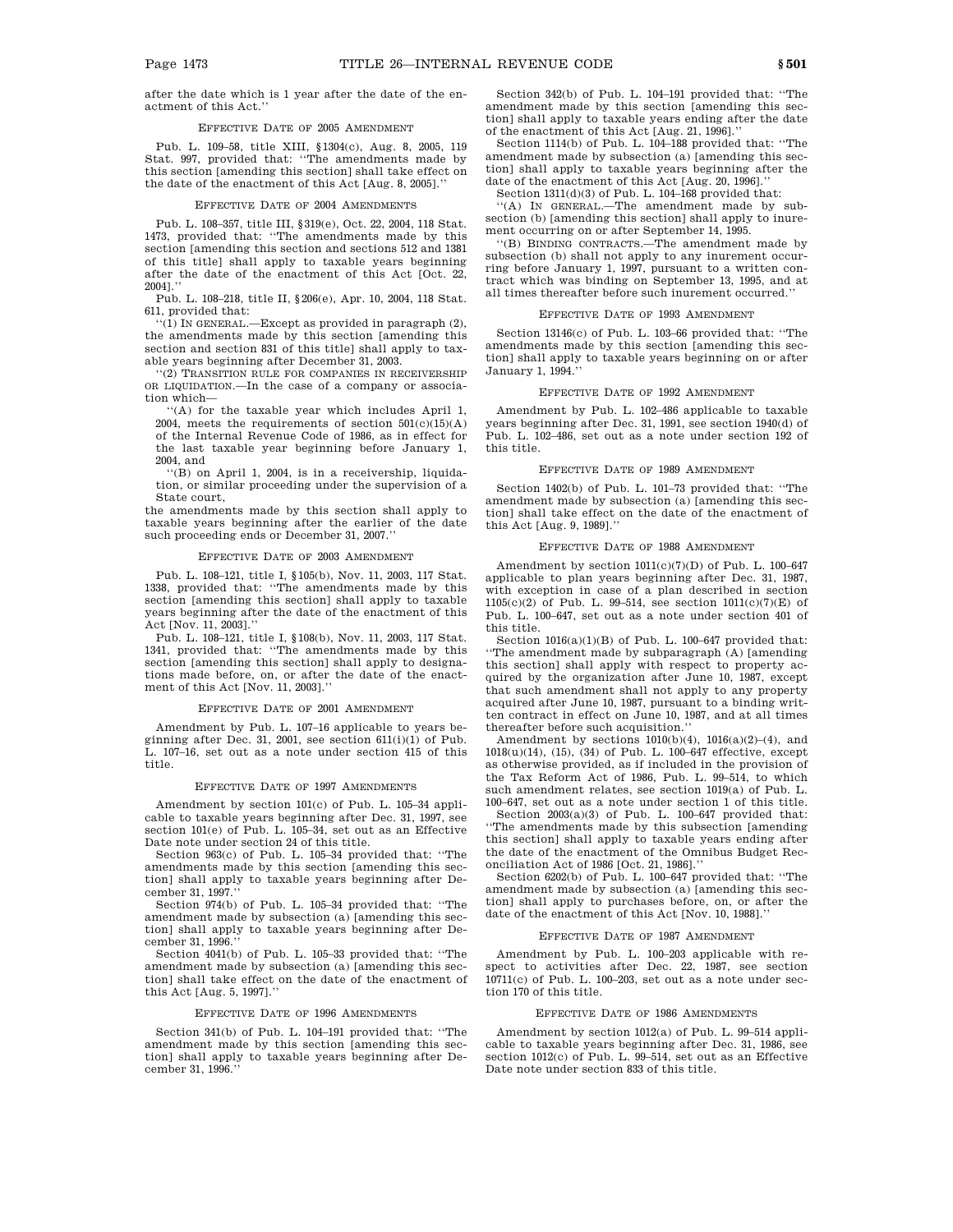after the date which is 1 year after the date of the enactment of this Act.''

### EFFECTIVE DATE OF 2005 AMENDMENT

Pub. L. 109–58, title XIII, §1304(c), Aug. 8, 2005, 119 Stat. 997, provided that: ''The amendments made by this section [amending this section] shall take effect on the date of the enactment of this Act [Aug. 8, 2005].''

#### FECTIVE DATE OF 2004 AMENDMENT

Pub. L. 108–357, title III, §319(e), Oct. 22, 2004, 118 Stat. 1473, provided that: ''The amendments made by this section [amending this section and sections 512 and 1381 of this title] shall apply to taxable years beginning after the date of the enactment of this Act [Oct. 22, 2004].''

Pub. L. 108–218, title II, §206(e), Apr. 10, 2004, 118 Stat. 611, provided that:

''(1) IN GENERAL.—Except as provided in paragraph (2), the amendments made by this section [amending this section and section 831 of this title] shall apply to taxable years beginning after December 31, 2003.

''(2) TRANSITION RULE FOR COMPANIES IN RECEIVERSHIP OR LIQUIDATION.—In the case of a company or association which—

''(A) for the taxable year which includes April 1, 2004, meets the requirements of section  $501(c)(15)(A)$ of the Internal Revenue Code of 1986, as in effect for the last taxable year beginning before January 1, 2004, and

''(B) on April 1, 2004, is in a receivership, liquidation, or similar proceeding under the supervision of a State court,

the amendments made by this section shall apply to taxable years beginning after the earlier of the date such proceeding ends or December 31, 2007.''

#### EFFECTIVE DATE OF 2003 AMENDMENT

Pub. L. 108–121, title I, §105(b), Nov. 11, 2003, 117 Stat. 1338, provided that: ''The amendments made by this section [amending this section] shall apply to taxable years beginning after the date of the enactment of this Act [Nov. 11, 2003].''

Pub. L. 108–121, title I, §108(b), Nov. 11, 2003, 117 Stat. 1341, provided that: "The amendments made by this section [amending this section] shall apply to designations made before, on, or after the date of the enactment of this Act [Nov. 11, 2003].''

#### EFFECTIVE DATE OF 2001 AMENDMENT

Amendment by Pub. L. 107–16 applicable to years beginning after Dec. 31, 2001, see section  $611(i)(1)$  of Pub. L. 107–16, set out as a note under section 415 of this title.

#### EFFECTIVE DATE OF 1997 AMENDMENTS

Amendment by section 101(c) of Pub. L. 105–34 applicable to taxable years beginning after Dec. 31, 1997, see section 101(e) of Pub. L. 105–34, set out as an Effective Date note under section 24 of this title.

Section 963(c) of Pub. L. 105–34 provided that: ''The amendments made by this section [amending this section] shall apply to taxable years beginning after December 31, 1997.''

Section 974(b) of Pub. L. 105–34 provided that: ''The amendment made by subsection (a) [amending this section] shall apply to taxable years beginning after December 31, 1996.''

Section 4041(b) of Pub. L. 105–33 provided that: ''The amendment made by subsection (a) [amending this section] shall take effect on the date of the enactment of this Act [Aug. 5, 1997].''

#### EFFECTIVE DATE OF 1996 AMENDMENTS

Section 341(b) of Pub. L. 104–191 provided that: ''The amendment made by this section [amending this section] shall apply to taxable years beginning after December 31, 1996.''

Section 342(b) of Pub. L. 104–191 provided that: ''The amendment made by this section [amending this section] shall apply to taxable years ending after the date of the enactment of this Act [Aug. 21, 1996].''

Section 1114(b) of Pub. L. 104–188 provided that: ''The amendment made by subsection (a) [amending this section] shall apply to taxable years beginning after the date of the enactment of this Act [Aug. 20, 1996].

Section  $1311(d)(3)$  of Pub. L. 104–168 provided that:

''(A) IN GENERAL.—The amendment made by subsection (b) [amending this section] shall apply to inurement occurring on or after September 14, 1995.

''(B) BINDING CONTRACTS.—The amendment made by subsection (b) shall not apply to any inurement occurring before January 1, 1997, pursuant to a written contract which was binding on September 13, 1995, and at all times thereafter before such inurement occurred.''

#### EFFECTIVE DATE OF 1993 AMENDMENT

Section 13146(c) of Pub. L. 103–66 provided that: ''The amendments made by this section [amending this section] shall apply to taxable years beginning on or after January 1, 1994.''

#### EFFECTIVE DATE OF 1992 AMENDMENT

Amendment by Pub. L. 102–486 applicable to taxable years beginning after Dec. 31, 1991, see section 1940(d) of Pub. L. 102–486, set out as a note under section 192 of this title.

#### EFFECTIVE DATE OF 1989 AMENDMENT

Section 1402(b) of Pub. L. 101–73 provided that: ''The amendment made by subsection (a) [amending this section] shall take effect on the date of the enactment of this Act [Aug. 9, 1989].''

#### EFFECTIVE DATE OF 1988 AMENDMENT

Amendment by section 1011(c)(7)(D) of Pub. L. 100–647 applicable to plan years beginning after Dec. 31, 1987, with exception in case of a plan described in section 1105(c)(2) of Pub. L. 99–514, see section 1011(c)(7)(E) of Pub. L. 100–647, set out as a note under section 401 of this title.

Section  $1016(a)(1)(B)$  of Pub. L. 100–647 provided that: ''The amendment made by subparagraph (A) [amending this section] shall apply with respect to property acquired by the organization after June 10, 1987, except that such amendment shall not apply to any property acquired after June 10, 1987, pursuant to a binding written contract in effect on June 10, 1987, and at all times thereafter before such acquisition.''

Amendment by sections  $1010(b)(4)$ ,  $1016(a)(2)-(4)$ , and  $1018(u)(14)$ , (15), (34) of Pub. L. 100–647 effective, except as otherwise provided, as if included in the provision of the Tax Reform Act of 1986, Pub. L. 99–514, to which such amendment relates, see section 1019(a) of Pub. L. 100–647, set out as a note under section 1 of this title.

Section  $2003(a)(3)$  of Pub. L. 100–647 provided that: ''The amendments made by this subsection [amending this section] shall apply to taxable years ending after the date of the enactment of the Omnibus Budget Reconciliation Act of 1986 [Oct. 21, 1986].''

Section 6202(b) of Pub. L. 100–647 provided that: ''The amendment made by subsection (a) [amending this section] shall apply to purchases before, on, or after the date of the enactment of this Act [Nov. 10, 1988].''

#### EFFECTIVE DATE OF 1987 AMENDMENT

Amendment by Pub. L. 100–203 applicable with respect to activities after Dec. 22, 1987, see section 10711(c) of Pub. L. 100–203, set out as a note under section 170 of this title.

#### EFFECTIVE DATE OF 1986 AMENDMENTS

Amendment by section 1012(a) of Pub. L. 99–514 applicable to taxable years beginning after Dec. 31, 1986, see section 1012(c) of Pub. L. 99–514, set out as an Effective Date note under section 833 of this title.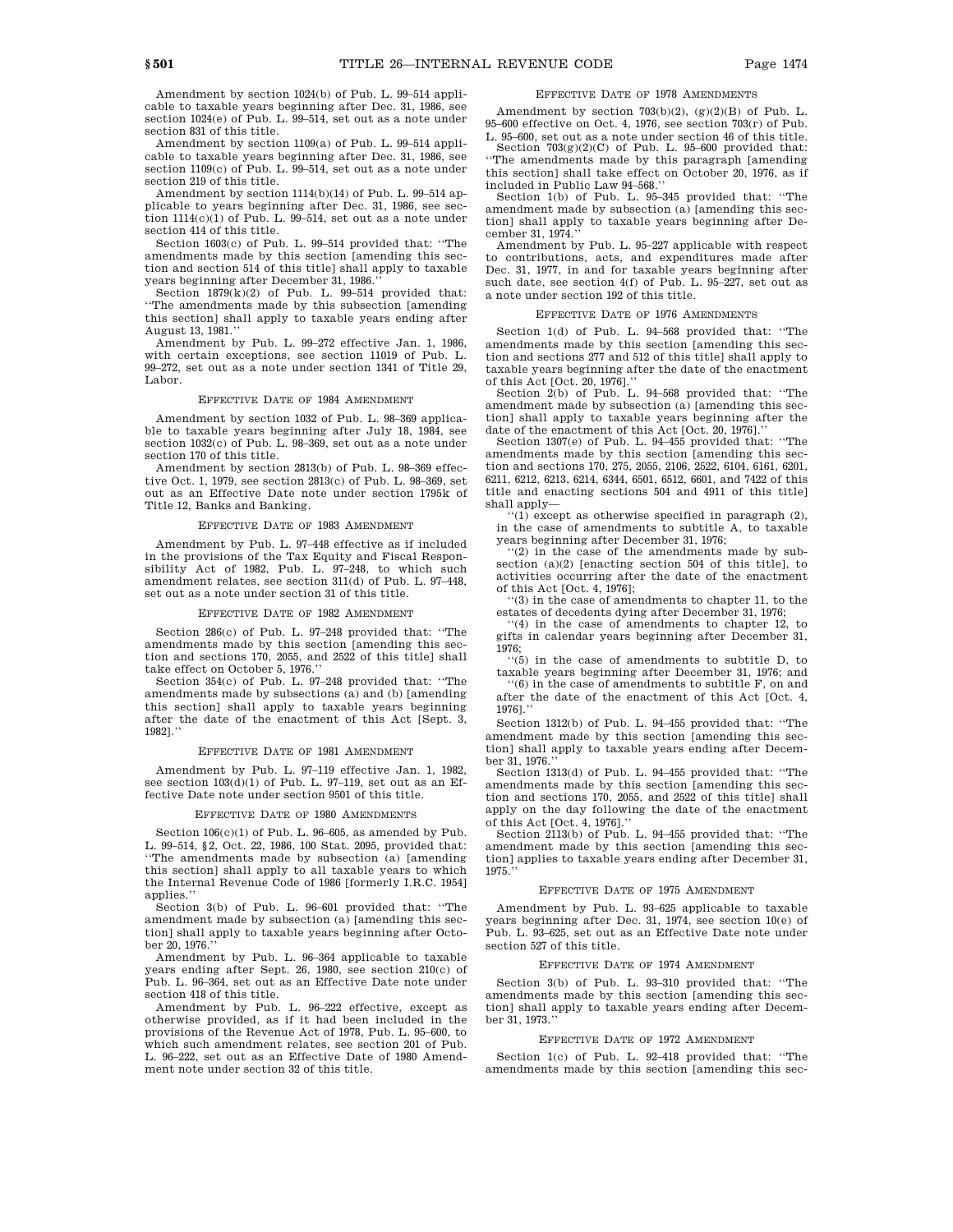Amendment by section 1024(b) of Pub. L. 99–514 applicable to taxable years beginning after Dec. 31, 1986, see section 1024(e) of Pub. L. 99–514, set out as a note under section 831 of this title.

Amendment by section 1109(a) of Pub. L. 99–514 applicable to taxable years beginning after Dec. 31, 1986, see section 1109(c) of Pub. L. 99-514, set out as a note under section 219 of this title.

Amendment by section 1114(b)(14) of Pub. L. 99–514 applicable to years beginning after Dec. 31, 1986, see section 1114(c)(1) of Pub. L. 99–514, set out as a note under section 414 of this title.

Section 1603(c) of Pub. L. 99–514 provided that: ''The amendments made by this section [amending this section and section 514 of this title] shall apply to taxable years beginning after December 31, 1986.''

Section  $1879(k)(2)$  of Pub. L. 99-514 provided that: ''The amendments made by this subsection [amending this section] shall apply to taxable years ending after August 13, 1981.''

Amendment by Pub. L. 99–272 effective Jan. 1, 1986, with certain exceptions, see section 11019 of Pub. L. 99–272, set out as a note under section 1341 of Title 29, Labor.

### EFFECTIVE DATE OF 1984 AMENDMENT

Amendment by section 1032 of Pub. L. 98–369 applicable to taxable years beginning after July 18, 1984, see section 1032(c) of Pub. L. 98–369, set out as a note under section 170 of this title.

Amendment by section 2813(b) of Pub. L. 98–369 effective Oct. 1, 1979, see section 2813(c) of Pub. L. 98–369, set out as an Effective Date note under section 1795k of Title 12, Banks and Banking.

#### EFFECTIVE DATE OF 1983 AMENDMENT

Amendment by Pub. L. 97–448 effective as if included in the provisions of the Tax Equity and Fiscal Responsibility Act of 1982, Pub. L. 97–248, to which such amendment relates, see section 311(d) of Pub. L. 97–448, set out as a note under section 31 of this title.

### EFFECTIVE DATE OF 1982 AMENDMENT

Section 286(c) of Pub. L. 97–248 provided that: ''The amendments made by this section [amending this section and sections 170, 2055, and 2522 of this title] shall take effect on October 5, 1976.''

Section 354(c) of Pub. L. 97–248 provided that: ''The amendments made by subsections (a) and (b) [amending this section] shall apply to taxable years beginning after the date of the enactment of this Act [Sept. 3, 1982].''

### EFFECTIVE DATE OF 1981 AMENDMENT

Amendment by Pub. L. 97–119 effective Jan. 1, 1982, see section 103(d)(1) of Pub. L. 97–119, set out as an Effective Date note under section 9501 of this title.

#### EFFECTIVE DATE OF 1980 AMENDMENTS

Section  $106(c)(1)$  of Pub. L. 96–605, as amended by Pub. L. 99–514, §2, Oct. 22, 1986, 100 Stat. 2095, provided that: ''The amendments made by subsection (a) [amending this section] shall apply to all taxable years to which the Internal Revenue Code of 1986 [formerly I.R.C. 1954] applies.''

Section 3(b) of Pub. L. 96–601 provided that: ''The amendment made by subsection (a) [amending this section] shall apply to taxable years beginning after October 20, 1976.

Amendment by Pub. L. 96–364 applicable to taxable years ending after Sept. 26, 1980, see section 210(c) of Pub. L. 96–364, set out as an Effective Date note under section 418 of this title.

Amendment by Pub. L. 96–222 effective, except as otherwise provided, as if it had been included in the provisions of the Revenue Act of 1978, Pub. L. 95–600, to which such amendment relates, see section 201 of Pub. L. 96–222, set out as an Effective Date of 1980 Amendment note under section 32 of this title.

### EFFECTIVE DATE OF 1978 AMENDMENTS

Amendment by section  $703(b)(2)$ ,  $(g)(2)(B)$  of Pub. L. 95–600 effective on Oct. 4, 1976, see section 703(r) of Pub. L. 95–600, set out as a note under section 46 of this title.

Section  $703(g)(2)(C)$  of Pub. L. 95–600 provided that: ''The amendments made by this paragraph [amending this section] shall take effect on October 20, 1976, as if included in Public Law 94–568.''

Section 1(b) of Pub. L. 95–345 provided that: ''The amendment made by subsection (a) [amending this section] shall apply to taxable years beginning after December 31, 1974.''

Amendment by Pub. L. 95–227 applicable with respect to contributions, acts, and expenditures made after Dec. 31, 1977, in and for taxable years beginning after such date, see section 4(f) of Pub. L. 95–227, set out as a note under section 192 of this title.

#### EFFECTIVE DATE OF 1976 AMENDMENTS

Section 1(d) of Pub. L. 94–568 provided that: ''The amendments made by this section [amending this section and sections 277 and 512 of this title] shall apply to taxable years beginning after the date of the enactment

of this Act [Oct. 20, 1976].'' Section 2(b) of Pub. L. 94–568 provided that: ''The amendment made by subsection (a) [amending this section] shall apply to taxable years beginning after the date of the enactment of this Act [Oct. 20, 1976].''

Section 1307(e) of Pub. L. 94–455 provided that: ''The amendments made by this section [amending this section and sections 170, 275, 2055, 2106, 2522, 6104, 6161, 6201, 6211, 6212, 6213, 6214, 6344, 6501, 6512, 6601, and 7422 of this title and enacting sections 504 and 4911 of this title] shall apply—

''(1) except as otherwise specified in paragraph (2), in the case of amendments to subtitle A, to taxable years beginning after December 31, 1976;

''(2) in the case of the amendments made by subsection  $(a)(2)$  [enacting section 504 of this title], to activities occurring after the date of the enactment of this Act [Oct. 4, 1976];

'(3) in the case of amendments to chapter 11, to the estates of decedents dying after December 31, 1976;

 $(4)$  in the case of amendments to chapter 12, to gifts in calendar years beginning after December 31, 1976;

 $\cdot\cdot\cdot$ (5) in the case of amendments to subtitle D, to taxable years beginning after December 31, 1976; and ''(6) in the case of amendments to subtitle F, on and

after the date of the enactment of this Act [Oct. 4, 1976].''

Section 1312(b) of Pub. L. 94–455 provided that: ''The amendment made by this section [amending this section] shall apply to taxable years ending after December 31, 1976.

Section 1313(d) of Pub. L. 94–455 provided that: ''The amendments made by this section [amending this section and sections 170, 2055, and 2522 of this title] shall apply on the day following the date of the enactment of this Act [Oct. 4, 1976].

Section 2113(b) of Pub. L. 94–455 provided that: ''The amendment made by this section [amending this section] applies to taxable years ending after December 31, 1975.''

#### EFFECTIVE DATE OF 1975 AMENDMENT

Amendment by Pub. L. 93–625 applicable to taxable years beginning after Dec. 31, 1974, see section 10(e) of Pub. L. 93–625, set out as an Effective Date note under section 527 of this title.

### EFFECTIVE DATE OF 1974 AMENDMENT

Section 3(b) of Pub. L. 93–310 provided that: ''The amendments made by this section [amending this section] shall apply to taxable years ending after December 31, 1973.

#### EFFECTIVE DATE OF 1972 AMENDMENT

Section 1(c) of Pub. L. 92–418 provided that: ''The amendments made by this section [amending this sec-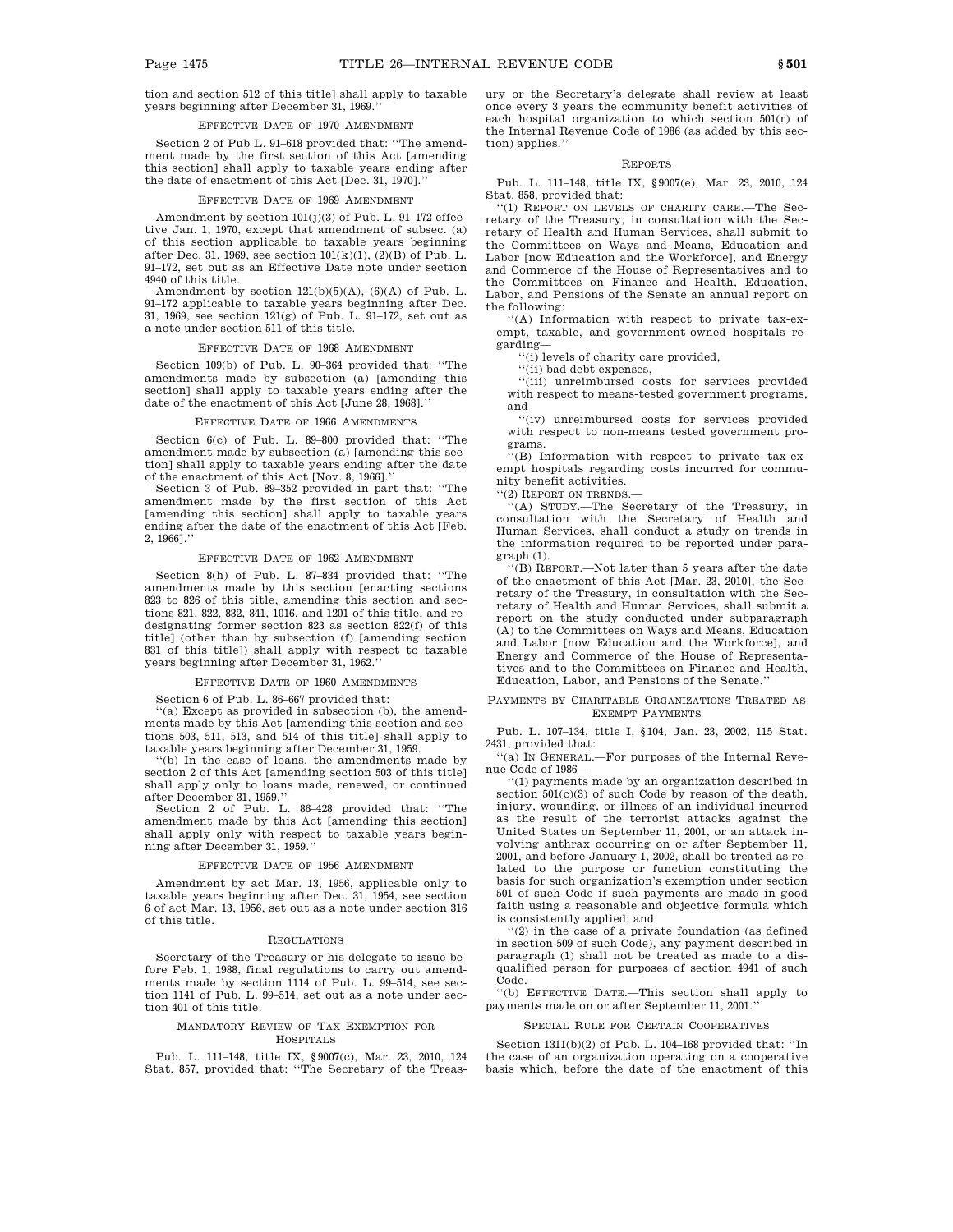tion and section 512 of this title] shall apply to taxable years beginning after December 31, 1969.''

#### EFFECTIVE DATE OF 1970 AMENDMENT

Section 2 of Pub L. 91–618 provided that: ''The amendment made by the first section of this Act [amending this section] shall apply to taxable years ending after the date of enactment of this Act [Dec. 31, 1970].

#### EFFECTIVE DATE OF 1969 AMENDMENT

Amendment by section  $101(j)(3)$  of Pub. L. 91-172 effective Jan. 1, 1970, except that amendment of subsec. (a) of this section applicable to taxable years beginning after Dec. 31, 1969, see section  $101(k)(1)$ ,  $(2)(B)$  of Pub. L. 91–172, set out as an Effective Date note under section 4940 of this title.

Amendment by section  $121(b)(5)(A)$ ,  $(6)(A)$  of Pub. L. 91–172 applicable to taxable years beginning after Dec. 31, 1969, see section 121(g) of Pub. L. 91–172, set out as a note under section 511 of this title.

### EFFECTIVE DATE OF 1968 AMENDMENT

Section 109(b) of Pub. L. 90–364 provided that: ''The amendments made by subsection (a) [amending this section] shall apply to taxable years ending after the date of the enactment of this Act [June 28, 1968].''

#### EFFECTIVE DATE OF 1966 AMENDMENTS

Section 6(c) of Pub. L. 89–800 provided that: ''The amendment made by subsection (a) [amending this section] shall apply to taxable years ending after the date

of the enactment of this Act [Nov. 8, 1966].'' Section 3 of Pub. 89–352 provided in part that: ''The amendment made by the first section of this Act [amending this section] shall apply to taxable years ending after the date of the enactment of this Act [Feb. 2, 1966].''

#### EFFECTIVE DATE OF 1962 AMENDMENT

Section 8(h) of Pub. L. 87–834 provided that: ''The amendments made by this section [enacting sections 823 to 826 of this title, amending this section and sections 821, 822, 832, 841, 1016, and 1201 of this title, and redesignating former section 823 as section 822(f) of this title] (other than by subsection (f) [amending section 831 of this title]) shall apply with respect to taxable years beginning after December 31, 1962.

### EFFECTIVE DATE OF 1960 AMENDMENTS

Section 6 of Pub. L. 86–667 provided that:

''(a) Except as provided in subsection (b), the amendments made by this Act [amending this section and sections 503, 511, 513, and 514 of this title] shall apply to taxable years beginning after December 31, 1959.

'(b) In the case of loans, the amendments made by section 2 of this Act [amending section 503 of this title] shall apply only to loans made, renewed, or continued after December 31, 1959.''

Section 2 of Pub. L. 86–428 provided that: ''The amendment made by this Act [amending this section] shall apply only with respect to taxable years beginning after December 31, 1959.''

#### EFFECTIVE DATE OF 1956 AMENDMENT

Amendment by act Mar. 13, 1956, applicable only to taxable years beginning after Dec. 31, 1954, see section 6 of act Mar. 13, 1956, set out as a note under section 316 of this title.

#### REGULATIONS

Secretary of the Treasury or his delegate to issue before Feb. 1, 1988, final regulations to carry out amendments made by section 1114 of Pub. L. 99–514, see section 1141 of Pub. L. 99–514, set out as a note under section 401 of this title.

#### MANDATORY REVIEW OF TAX EXEMPTION FOR HOSPITALS

Pub. L. 111–148, title IX, §9007(c), Mar. 23, 2010, 124 Stat. 857, provided that: ''The Secretary of the Treasury or the Secretary's delegate shall review at least once every 3 years the community benefit activities of each hospital organization to which section 501(r) of the Internal Revenue Code of 1986 (as added by this section) applies.''

#### REPORTS

Pub. L. 111–148, title IX, §9007(e), Mar. 23, 2010, 124 Stat. 858, provided that:

''(1) REPORT ON LEVELS OF CHARITY CARE.—The Secretary of the Treasury, in consultation with the Secretary of Health and Human Services, shall submit to the Committees on Ways and Means, Education and Labor [now Education and the Workforce], and Energy and Commerce of the House of Representatives and to the Committees on Finance and Health, Education, Labor, and Pensions of the Senate an annual report on the following:

''(A) Information with respect to private tax-exempt, taxable, and government-owned hospitals regarding—

''(i) levels of charity care provided,

''(ii) bad debt expenses,

''(iii) unreimbursed costs for services provided with respect to means-tested government programs, and

''(iv) unreimbursed costs for services provided with respect to non-means tested government programs.

''(B) Information with respect to private tax-exempt hospitals regarding costs incurred for community benefit activities.

''(2) REPORT ON TRENDS.—

''(A) STUDY.—The Secretary of the Treasury, in consultation with the Secretary of Health and Human Services, shall conduct a study on trends in the information required to be reported under paragraph (1).

''(B) REPORT.—Not later than 5 years after the date of the enactment of this Act [Mar. 23, 2010], the Secretary of the Treasury, in consultation with the Secretary of Health and Human Services, shall submit a report on the study conducted under subparagraph (A) to the Committees on Ways and Means, Education and Labor [now Education and the Workforce], and Energy and Commerce of the House of Representatives and to the Committees on Finance and Health, Education, Labor, and Pensions of the Senate.''

#### PAYMENTS BY CHARITABLE ORGANIZATIONS TREATED AS EXEMPT PAYMENTS

Pub. L. 107–134, title I, §104, Jan. 23, 2002, 115 Stat. 2431, provided that:

''(a) IN GENERAL.—For purposes of the Internal Revenue Code of 1986—

''(1) payments made by an organization described in section  $501(c)(3)$  of such Code by reason of the death. injury, wounding, or illness of an individual incurred as the result of the terrorist attacks against the United States on September 11, 2001, or an attack involving anthrax occurring on or after September 11, 2001, and before January 1, 2002, shall be treated as related to the purpose or function constituting the basis for such organization's exemption under section 501 of such Code if such payments are made in good faith using a reasonable and objective formula which is consistently applied; and

''(2) in the case of a private foundation (as defined in section 509 of such Code), any payment described in paragraph (1) shall not be treated as made to a disqualified person for purposes of section 4941 of such Code.

''(b) EFFECTIVE DATE.—This section shall apply to payments made on or after September 11, 2001.''

#### SPECIAL RULE FOR CERTAIN COOPERATIVES

Section 1311(b)(2) of Pub. L. 104–168 provided that: ''In the case of an organization operating on a cooperative basis which, before the date of the enactment of this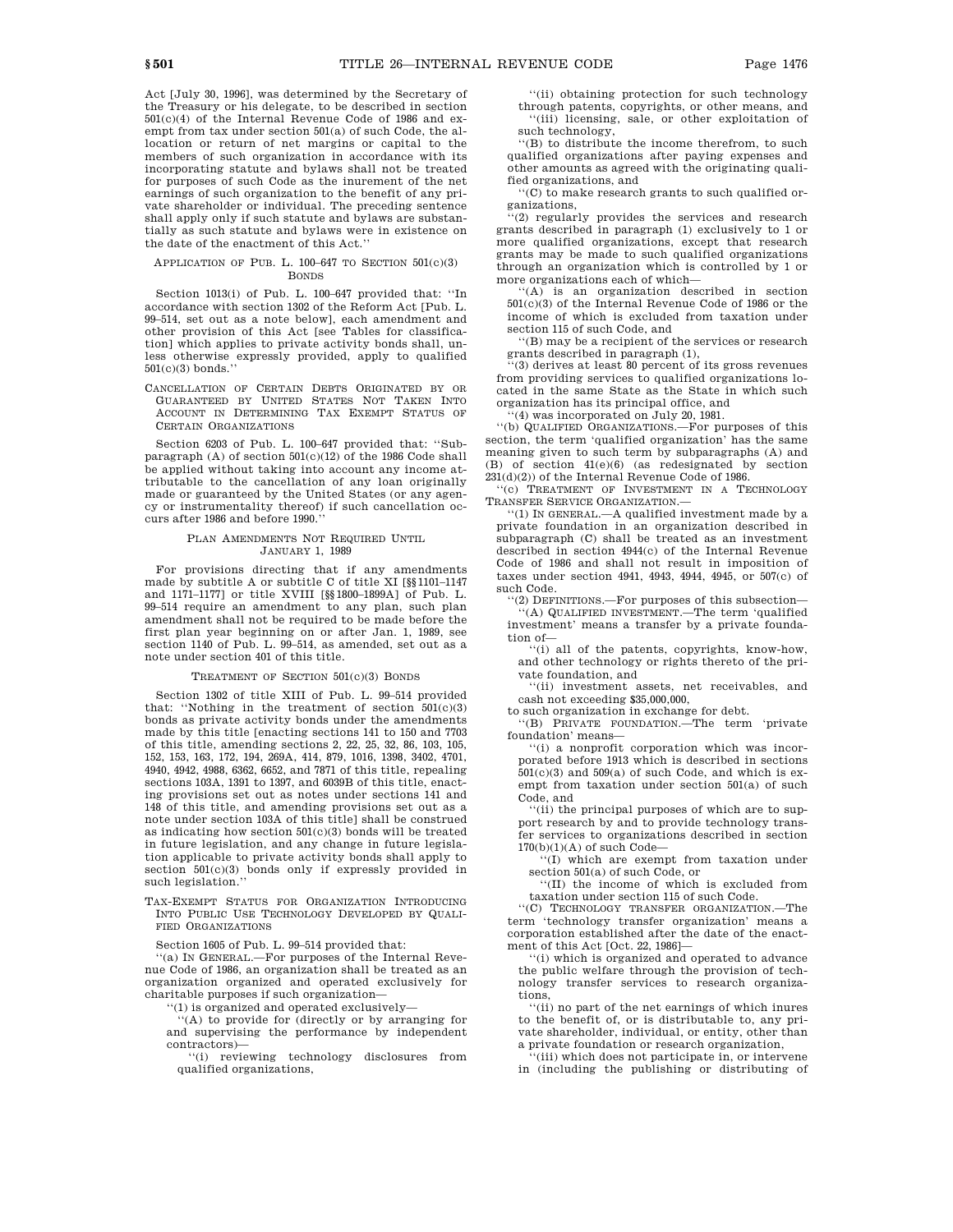Act [July 30, 1996], was determined by the Secretary of the Treasury or his delegate, to be described in section 501(c)(4) of the Internal Revenue Code of 1986 and exempt from tax under section 501(a) of such Code, the allocation or return of net margins or capital to the members of such organization in accordance with its incorporating statute and bylaws shall not be treated for purposes of such Code as the inurement of the net earnings of such organization to the benefit of any private shareholder or individual. The preceding sentence shall apply only if such statute and bylaws are substantially as such statute and bylaws were in existence on the date of the enactment of this Act.''

#### APPLICATION OF PUB. L.  $100-647$  TO SECTION  $501(c)(3)$ BONDS

Section 1013(i) of Pub. L. 100–647 provided that: ''In accordance with section 1302 of the Reform Act [Pub. L. 99–514, set out as a note below], each amendment and other provision of this Act [see Tables for classification] which applies to private activity bonds shall, unless otherwise expressly provided, apply to qualified  $501(c)(3)$  bonds.

CANCELLATION OF CERTAIN DEBTS ORIGINATED BY OR GUARANTEED BY UNITED STATES NOT TAKEN INTO ACCOUNT IN DETERMINING TAX EXEMPT STATUS OF CERTAIN ORGANIZATIONS

Section 6203 of Pub. L. 100–647 provided that: ''Subparagraph (A) of section  $501(c)(12)$  of the 1986 Code shall be applied without taking into account any income attributable to the cancellation of any loan originally made or guaranteed by the United States (or any agency or instrumentality thereof) if such cancellation occurs after 1986 and before 1990.''

### PLAN AMENDMENTS NOT REQUIRED UNTIL JANUARY 1, 1989

For provisions directing that if any amendments made by subtitle A or subtitle C of title XI [§§1101–1147 and 1171–1177] or title XVIII [§§1800–1899A] of Pub. L. 99–514 require an amendment to any plan, such plan amendment shall not be required to be made before the first plan year beginning on or after Jan. 1, 1989, see section 1140 of Pub. L. 99–514, as amended, set out as a note under section 401 of this title.

#### TREATMENT OF SECTION 501(c)(3) BONDS

Section 1302 of title XIII of Pub. L. 99–514 provided that: ''Nothing in the treatment of section 501(c)(3) bonds as private activity bonds under the amendments made by this title [enacting sections 141 to 150 and 7703 of this title, amending sections 2, 22, 25, 32, 86, 103, 105, 152, 153, 163, 172, 194, 269A, 414, 879, 1016, 1398, 3402, 4701, 4940, 4942, 4988, 6362, 6652, and 7871 of this title, repealing sections 103A, 1391 to 1397, and 6039B of this title, enacting provisions set out as notes under sections 141 and 148 of this title, and amending provisions set out as a note under section 103A of this title] shall be construed as indicating how section  $501(c)(3)$  bonds will be treated in future legislation, and any change in future legislation applicable to private activity bonds shall apply to section 501(c)(3) bonds only if expressly provided in such legislation.''

TAX-EXEMPT STATUS FOR ORGANIZATION INTRODUCING INTO PUBLIC USE TECHNOLOGY DEVELOPED BY QUALI-FIED ORGANIZATIONS

Section 1605 of Pub. L. 99–514 provided that:

''(a) IN GENERAL.—For purposes of the Internal Revenue Code of 1986, an organization shall be treated as an organization organized and operated exclusively for charitable purposes if such organization—

''(1) is organized and operated exclusively—

 $(A)$  to provide for (directly or by arranging for and supervising the performance by independent contractors)—

''(i) reviewing technology disclosures from qualified organizations,

''(ii) obtaining protection for such technology through patents, copyrights, or other means, and ''(iii) licensing, sale, or other exploitation of such technology,

''(B) to distribute the income therefrom, to such qualified organizations after paying expenses and other amounts as agreed with the originating qualified organizations, and

''(C) to make research grants to such qualified organizations,

''(2) regularly provides the services and research grants described in paragraph (1) exclusively to 1 or more qualified organizations, except that research grants may be made to such qualified organizations through an organization which is controlled by 1 or more organizations each of which—

''(A) is an organization described in section 501(c)(3) of the Internal Revenue Code of 1986 or the income of which is excluded from taxation under section 115 of such Code, and

''(B) may be a recipient of the services or research grants described in paragraph (1),

 $\cdots$ (3) derives at least 80 percent of its gross revenues from providing services to qualified organizations located in the same State as the State in which such organization has its principal office, and

''(4) was incorporated on July 20, 1981.

''(b) QUALIFIED ORGANIZATIONS.—For purposes of this section, the term 'qualified organization' has the same meaning given to such term by subparagraphs (A) and (B) of section 41(e)(6) (as redesignated by section 231(d)(2)) of the Internal Revenue Code of 1986.

''(c) TREATMENT OF INVESTMENT IN A TECHNOLOGY TRANSFER SERVICE ORGANIZATION.—

''(1) IN GENERAL.—A qualified investment made by a private foundation in an organization described in subparagraph (C) shall be treated as an investment described in section 4944(c) of the Internal Revenue Code of 1986 and shall not result in imposition of taxes under section 4941, 4943, 4944, 4945, or 507(c) of such Code.

'(2) DEFINITIONS.—For purposes of this subsection— ''(A) QUALIFIED INVESTMENT.—The term 'qualified investment' means a transfer by a private foundation of—

''(i) all of the patents, copyrights, know-how, and other technology or rights thereto of the private foundation, and

''(ii) investment assets, net receivables, and cash not exceeding \$35,000,000,

to such organization in exchange for debt.

''(B) PRIVATE FOUNDATION.—The term 'private foundation' means—

''(i) a nonprofit corporation which was incorporated before 1913 which is described in sections  $501(c)(3)$  and  $509(a)$  of such Code, and which is exempt from taxation under section 501(a) of such Code, and

''(ii) the principal purposes of which are to support research by and to provide technology transfer services to organizations described in section  $170(b)(1)(A)$  of such Code-

'(I) which are exempt from taxation under section 501(a) of such Code, or

''(II) the income of which is excluded from taxation under section 115 of such Code.

''(C) TECHNOLOGY TRANSFER ORGANIZATION.—The term 'technology transfer organization' means a corporation established after the date of the enactment of this Act [Oct. 22, 1986]—

''(i) which is organized and operated to advance the public welfare through the provision of technology transfer services to research organizations,

''(ii) no part of the net earnings of which inures to the benefit of, or is distributable to, any private shareholder, individual, or entity, other than

a private foundation or research organization, ''(iii) which does not participate in, or intervene in (including the publishing or distributing of